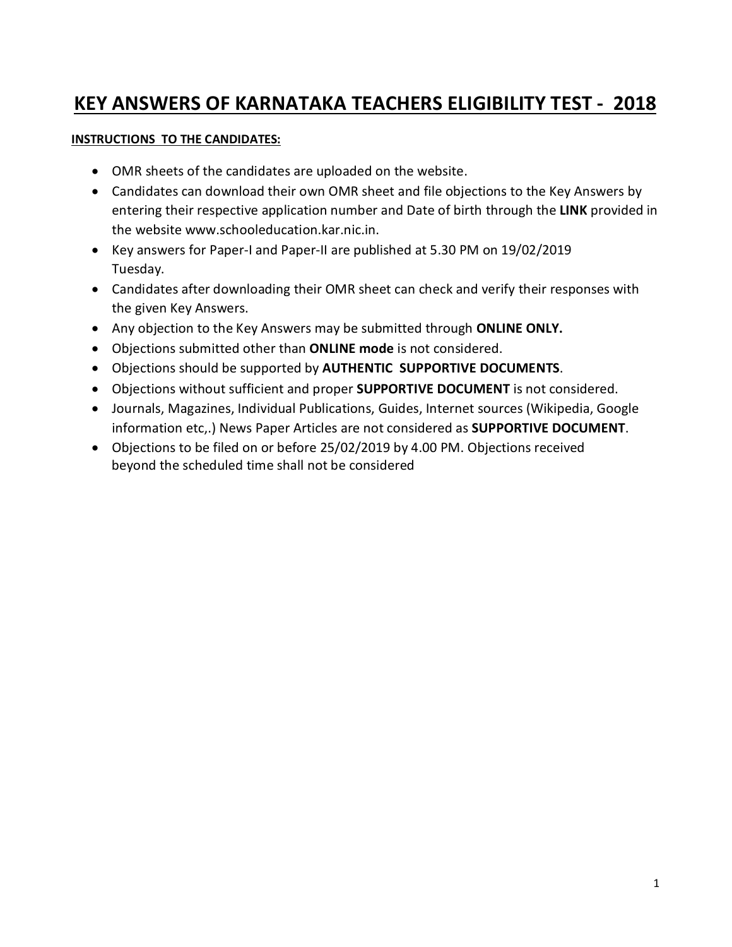## **KEY ANSWERS OF KARNATAKA TEACHERS ELIGIBILITY TEST - 2018**

#### **INSTRUCTIONS TO THE CANDIDATES:**

- OMR sheets of the candidates are uploaded on the website.
- Candidates can download their own OMR sheet and file objections to the Key Answers by entering their respective application number and Date of birth through the **LINK** provided in the website [www.schooleducation.kar.nic.in.](http://www.schooleducation.kar.nic.in.)
- Key answers for Paper-I and Paper-II are published at 5.30 PM on 19/02/2019 Tuesday.
- Candidates after downloading their OMR sheet can check and verify their responses with the given Key Answers.
- Any objection to the Key Answers may be submitted through **ONLINE ONLY.**
- Objections submitted other than **ONLINE mode** is not considered.
- Objections should be supported by **AUTHENTIC SUPPORTIVE DOCUMENTS**.
- Objections without sufficient and proper **SUPPORTIVE DOCUMENT** is not considered.
- Journals, Magazines, Individual Publications, Guides, Internet sources (Wikipedia, Google information etc,.) News Paper Articles are not considered as **SUPPORTIVE DOCUMENT**.
- Objections to be filed on or before 25/02/2019 by 4.00 PM. Objections received beyond the scheduled time shall not be considered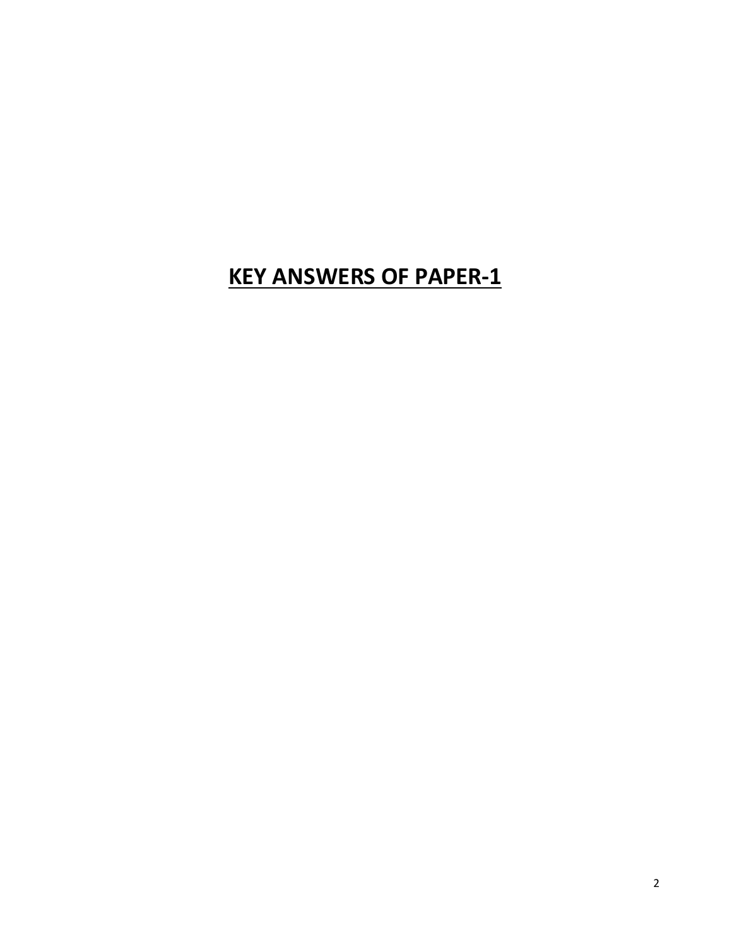# **KEY ANSWERS OF PAPER-1**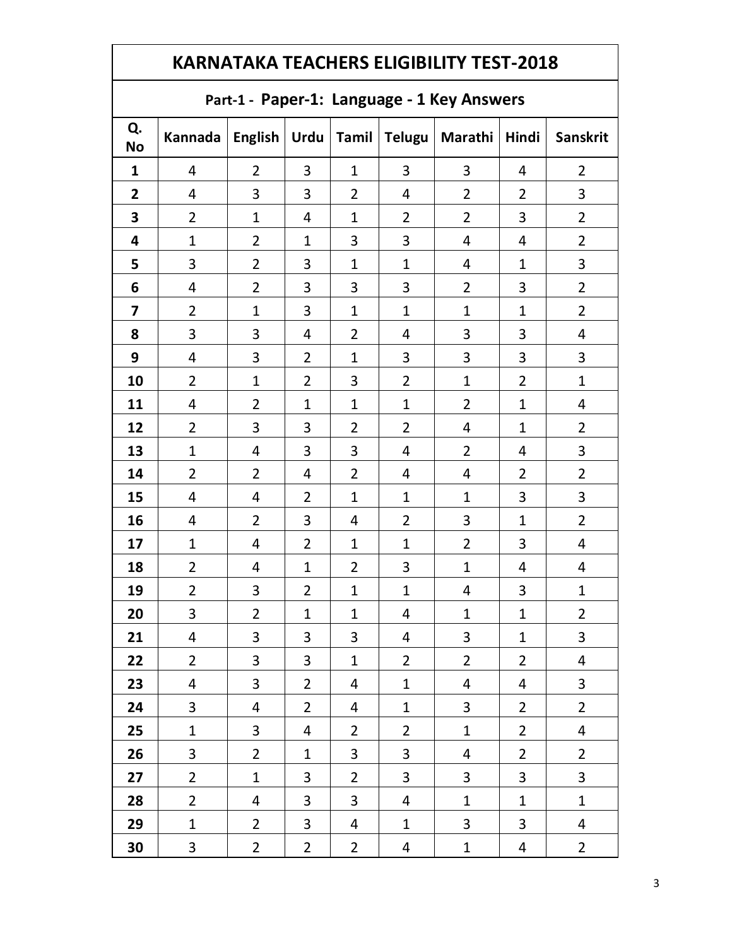#### **Part-1 - Paper-1: Language - 1 Key Answers**

| Q.<br><b>No</b>         | Kannada                 | <b>English</b>          | Urdu                    |                         | Tamil Telugu             | <b>Marathi</b>          | Hindi          | <b>Sanskrit</b>         |
|-------------------------|-------------------------|-------------------------|-------------------------|-------------------------|--------------------------|-------------------------|----------------|-------------------------|
| $\mathbf{1}$            | 4                       | $\overline{2}$          | 3                       | $\mathbf{1}$            | $\overline{3}$           | 3                       | 4              | $\overline{2}$          |
| $\mathbf{2}$            | $\overline{\mathbf{r}}$ | 3                       | 3                       | $\overline{2}$          | 4                        | $\overline{2}$          | $\overline{2}$ | 3                       |
| 3                       | $\overline{2}$          | $\mathbf{1}$            | $\overline{\mathbf{r}}$ | $\mathbf{1}$            | $\overline{2}$           | $\overline{2}$          | 3              | $\overline{2}$          |
| 4                       | $\mathbf{1}$            | $\overline{2}$          | $\mathbf{1}$            | 3                       | 3                        | $\overline{4}$          | 4              | $\overline{2}$          |
| 5                       | 3                       | $\overline{2}$          | 3                       | $\mathbf{1}$            | $\mathbf{1}$             | $\overline{4}$          | $\mathbf{1}$   | 3                       |
| 6                       | 4                       | $\overline{2}$          | 3                       | 3                       | 3                        | $\overline{2}$          | 3              | $\overline{2}$          |
| $\overline{\mathbf{z}}$ | $\overline{2}$          | $\mathbf{1}$            | 3                       | $\mathbf{1}$            | $\mathbf{1}$             | $\mathbf 1$             | $\mathbf{1}$   | $\overline{2}$          |
| 8                       | 3                       | 3                       | $\overline{\mathbf{r}}$ | $\overline{2}$          | 4                        | 3                       | 3              | $\overline{\mathbf{4}}$ |
| 9                       | 4                       | 3                       | $\overline{2}$          | $\mathbf 1$             | 3                        | 3                       | 3              | 3                       |
| 10                      | $\overline{2}$          | $\mathbf{1}$            | $\overline{2}$          | 3                       | $\overline{2}$           | $\mathbf 1$             | $\overline{2}$ | $\mathbf{1}$            |
| 11                      | 4                       | $\overline{2}$          | $\mathbf{1}$            | $\mathbf{1}$            | $\mathbf{1}$             | $\overline{2}$          | $\mathbf 1$    | $\overline{\mathbf{r}}$ |
| 12                      | $\overline{2}$          | 3                       | 3                       | $\overline{2}$          | $\overline{2}$           | 4                       | $\mathbf{1}$   | $\overline{2}$          |
| 13                      | $\mathbf{1}$            | $\overline{\mathbf{r}}$ | 3                       | $\mathbf{3}$            | 4                        | $\overline{2}$          | 4              | 3                       |
| 14                      | $\overline{2}$          | $\overline{2}$          | $\overline{\mathbf{r}}$ | $\overline{2}$          | 4                        | 4                       | $\overline{2}$ | $\overline{2}$          |
| 15                      | 4                       | $\overline{4}$          | $\overline{2}$          | $\mathbf{1}$            | $\mathbf{1}$             | $\mathbf{1}$            | 3              | 3                       |
| 16                      | 4                       | $\overline{2}$          | 3                       | $\overline{\mathbf{r}}$ | $\overline{2}$           | 3                       | $\mathbf 1$    | $\overline{2}$          |
| 17                      | $\mathbf{1}$            | $\overline{4}$          | $\overline{2}$          | $\mathbf{1}$            | $\mathbf{1}$             | $\overline{2}$          | 3              | $\overline{\mathbf{r}}$ |
| 18                      | $\overline{2}$          | $\overline{4}$          | $\mathbf{1}$            | $\overline{2}$          | 3                        | $\mathbf{1}$            | 4              | $\overline{4}$          |
| 19                      | $\overline{2}$          | 3                       | $\overline{2}$          | $\mathbf{1}$            | $\mathbf{1}$             | 4                       | 3              | $\mathbf{1}$            |
| 20                      | 3                       | $\overline{2}$          | $\mathbf{1}$            | $\mathbf{1}$            | 4                        | $\mathbf{1}$            | $\mathbf 1$    | $\overline{2}$          |
| 21                      | $\overline{\mathbf{r}}$ | 3                       | 3                       | 3                       | $\overline{\mathcal{A}}$ | $\overline{\mathbf{3}}$ | $\mathbf{1}$   | 3                       |
| 22                      | $\overline{2}$          | 3                       | 3                       | $\mathbf{1}$            | $\overline{2}$           | $\overline{2}$          | $\overline{2}$ | $\overline{4}$          |
| 23                      | 4                       | 3                       | $\overline{2}$          | 4                       | $\mathbf{1}$             | 4                       | 4              | 3                       |
| 24                      | 3                       | 4                       | $\overline{2}$          | 4                       | $\mathbf{1}$             | 3                       | $\overline{2}$ | $\overline{2}$          |
| 25                      | $\mathbf 1$             | 3                       | 4                       | $\overline{2}$          | $\overline{2}$           | $\mathbf{1}$            | $\overline{2}$ | $\overline{4}$          |
| 26                      | 3                       | $\overline{2}$          | $\mathbf{1}$            | 3                       | 3                        | $\overline{\mathbf{r}}$ | $\overline{2}$ | $\overline{2}$          |
| 27                      | $\overline{2}$          | $\mathbf{1}$            | 3                       | $\overline{2}$          | 3                        | 3                       | $\mathbf{3}$   | 3                       |
| 28                      | $\overline{2}$          | 4                       | 3                       | 3                       | 4                        | $\mathbf{1}$            | $\mathbf{1}$   | $\mathbf{1}$            |
| 29                      | $\mathbf{1}$            | $\overline{2}$          | $\mathbf{3}$            | 4                       | $\mathbf{1}$             | 3                       | 3              | $\overline{\mathbf{r}}$ |
| 30                      | 3                       | $\overline{2}$          | $\overline{2}$          | $\overline{2}$          | 4                        | $\mathbf{1}$            | 4              | $\overline{2}$          |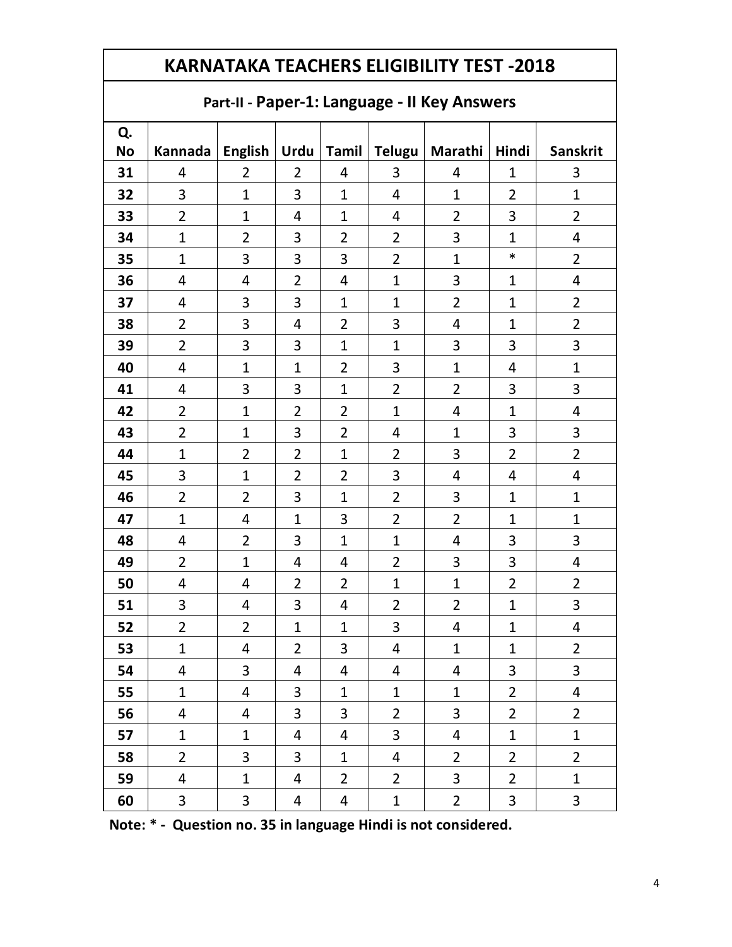### **Part-II - Paper-1: Language - II Key Answers**

| Q.        |                          |                         |                |                         |                          |                          |                |                         |
|-----------|--------------------------|-------------------------|----------------|-------------------------|--------------------------|--------------------------|----------------|-------------------------|
| <b>No</b> | Kannada   English   Urdu |                         |                |                         |                          | Tamil   Telugu   Marathi | Hindi          | Sanskrit                |
| 31        | 4                        | $\overline{2}$          | $\overline{2}$ | 4                       | 3                        | 4                        | $\mathbf{1}$   | 3                       |
| 32        | 3                        | $\mathbf{1}$            | 3              | $\mathbf{1}$            | $\overline{\mathbf{r}}$  | $\mathbf{1}$             | $\overline{2}$ | $\mathbf{1}$            |
| 33        | $\overline{2}$           | $\mathbf{1}$            | 4              | $\mathbf{1}$            | 4                        | $\overline{2}$           | 3              | $\overline{2}$          |
| 34        | $\mathbf{1}$             | $\overline{2}$          | 3              | $\overline{2}$          | $\overline{2}$           | 3                        | $\mathbf{1}$   | $\overline{\mathbf{4}}$ |
| 35        | $\mathbf 1$              | 3                       | 3              | 3                       | $\overline{2}$           | $\overline{1}$           | $\ast$         | $\overline{2}$          |
| 36        | 4                        | $\overline{\mathbf{r}}$ | $\overline{2}$ | $\overline{4}$          | $\mathbf{1}$             | 3                        | $\mathbf{1}$   | $\overline{\mathbf{r}}$ |
| 37        | 4                        | 3                       | 3              | $\mathbf{1}$            | $\mathbf{1}$             | $\overline{2}$           | $\mathbf 1$    | $\overline{2}$          |
| 38        | $\overline{2}$           | 3                       | 4              | 2                       | 3                        | $\overline{\mathcal{A}}$ | $\mathbf 1$    | $\overline{2}$          |
| 39        | $\overline{2}$           | 3                       | 3              | $\mathbf 1$             | $\mathbf 1$              | 3                        | 3              | 3                       |
| 40        | 4                        | $\mathbf{1}$            | $\mathbf 1$    | 2                       | 3                        | $\mathbf{1}$             | 4              | $\mathbf 1$             |
| 41        | 4                        | 3                       | 3              | $\mathbf{1}$            | $\overline{2}$           | $\overline{2}$           | 3              | 3                       |
| 42        | $\overline{2}$           | $\mathbf{1}$            | $\overline{2}$ | $\overline{2}$          | $\mathbf 1$              | $\overline{\mathcal{A}}$ | $\mathbf 1$    | $\overline{\mathbf{r}}$ |
| 43        | $\overline{2}$           | $\mathbf{1}$            | 3              | $\overline{2}$          | 4                        | $\mathbf{1}$             | 3              | 3                       |
| 44        | $\mathbf 1$              | $\overline{2}$          | $\overline{2}$ | $\mathbf{1}$            | $\overline{2}$           | 3                        | $\overline{2}$ | $\overline{2}$          |
| 45        | 3                        | $\mathbf{1}$            | $\overline{2}$ | $\overline{2}$          | 3                        | $\overline{4}$           | 4              | $\overline{\mathbf{r}}$ |
| 46        | $\overline{2}$           | $\overline{2}$          | 3              | $\mathbf{1}$            | $\overline{2}$           | 3                        | $\mathbf 1$    | $\mathbf 1$             |
| 47        | $\mathbf{1}$             | $\overline{4}$          | $\mathbf{1}$   | 3                       | $\overline{2}$           | $\overline{2}$           | $\mathbf{1}$   | $\mathbf{1}$            |
| 48        | 4                        | $\overline{2}$          | 3              | $\mathbf{1}$            | $\mathbf 1$              | $\overline{4}$           | 3              | 3                       |
| 49        | $\overline{2}$           | $\mathbf{1}$            | 4              | $\overline{4}$          | $\overline{2}$           | 3                        | 3              | $\overline{4}$          |
| 50        | 4                        | 4                       | $\overline{2}$ | $\overline{2}$          | $\mathbf 1$              | $\overline{1}$           | $\overline{2}$ | $\overline{2}$          |
| 51        | 3                        | $\overline{4}$          | 3              | $\overline{4}$          | $\overline{2}$           | $\overline{2}$           | $\mathbf 1$    | 3                       |
| 52        | $\overline{2}$           | $\overline{2}$          | $\mathbf 1$    | $\mathbf{1}$            | 3                        | $\overline{4}$           | $\mathbf 1$    | 4                       |
| 53        | $\mathbf{1}$             | $\overline{4}$          | $\overline{2}$ | $\overline{\mathbf{3}}$ | $\overline{\mathcal{A}}$ | $\mathbf{1}$             | $\mathbf{1}$   | $\overline{2}$          |
| 54        | 4                        | 3                       | 4              | $\overline{4}$          | 4                        | $\overline{4}$           | 3              | 3                       |
| 55        | $\mathbf{1}$             | $\overline{4}$          | 3              | $\mathbf{1}$            | $\mathbf{1}$             | $\mathbf{1}$             | $\overline{2}$ | $\overline{\mathbf{4}}$ |
| 56        | 4                        | $\overline{\mathbf{r}}$ | 3              | 3                       | $\overline{2}$           | 3                        | $\overline{2}$ | $\overline{2}$          |
| 57        | $\mathbf{1}$             | $\mathbf{1}$            | $\overline{4}$ | $\overline{4}$          | $\overline{3}$           | $\overline{4}$           | $\mathbf 1$    | $\mathbf{1}$            |
| 58        | $\overline{2}$           | $\overline{3}$          | $\overline{3}$ | $\mathbf{1}$            | $\overline{4}$           | $\overline{2}$           | $\overline{2}$ | $\overline{2}$          |
| 59        | $\overline{4}$           | $\mathbf{1}$            | 4              | $\overline{2}$          | $\overline{2}$           | 3                        | $\overline{2}$ | $\mathbf{1}$            |
| 60        | $\mathbf{3}$             | $\mathbf{3}$            | 4              | 4                       | $\mathbf{1}$             | $\overline{2}$           | 3              | 3                       |

**Note: \* - Question no. 35 in language Hindi is not considered.**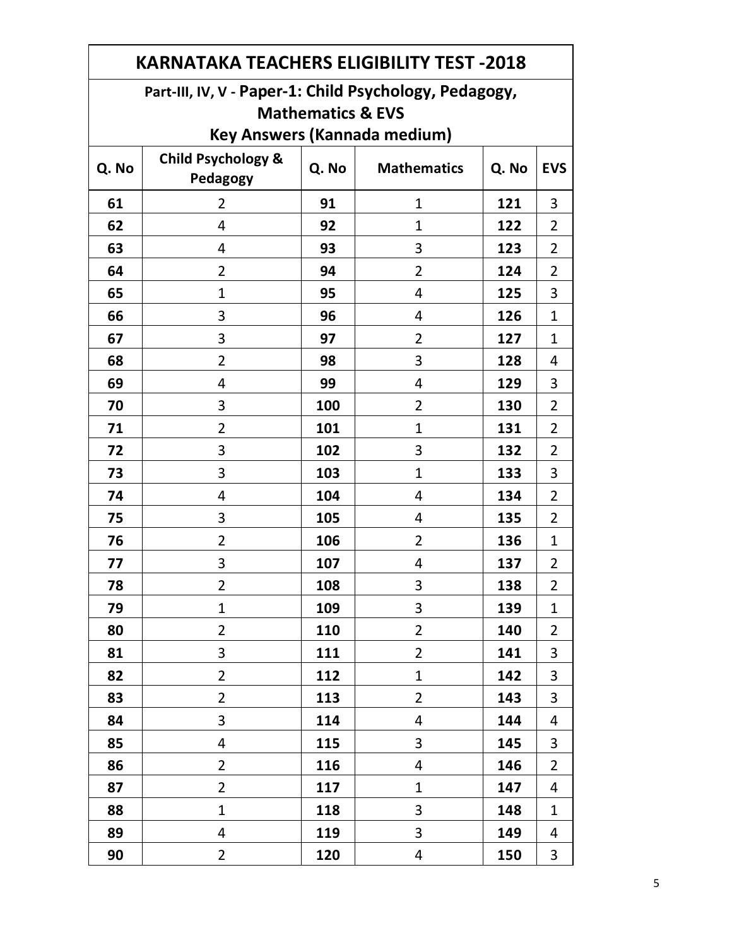| <b>KARNATAKA TEACHERS ELIGIBILITY TEST -2018</b> |                                                        |       |                                     |       |                |  |  |  |
|--------------------------------------------------|--------------------------------------------------------|-------|-------------------------------------|-------|----------------|--|--|--|
|                                                  | Part-III, IV, V - Paper-1: Child Psychology, Pedagogy, |       |                                     |       |                |  |  |  |
|                                                  | <b>Mathematics &amp; EVS</b>                           |       |                                     |       |                |  |  |  |
|                                                  |                                                        |       | <b>Key Answers (Kannada medium)</b> |       |                |  |  |  |
| Q. No                                            | <b>Child Psychology &amp;</b><br>Pedagogy              | Q. No | <b>Mathematics</b>                  | Q. No | <b>EVS</b>     |  |  |  |
| 61                                               | $\overline{2}$                                         | 91    | $\mathbf{1}$                        | 121   | 3              |  |  |  |
| 62                                               | $\overline{4}$                                         | 92    | $\mathbf{1}$                        | 122   | $\overline{2}$ |  |  |  |
| 63                                               | 4                                                      | 93    | 3                                   | 123   | $\overline{2}$ |  |  |  |
| 64                                               | $\overline{2}$                                         | 94    | $\overline{2}$                      | 124   | $\overline{2}$ |  |  |  |
| 65                                               | $\mathbf{1}$                                           | 95    | 4                                   | 125   | 3              |  |  |  |
| 66                                               | 3                                                      | 96    | 4                                   | 126   | $\mathbf{1}$   |  |  |  |
| 67                                               | 3                                                      | 97    | $\overline{2}$                      | 127   | $\mathbf{1}$   |  |  |  |
| 68                                               | $\overline{2}$                                         | 98    | 3                                   | 128   | 4              |  |  |  |
| 69                                               | 4                                                      | 99    | $\overline{4}$                      | 129   | 3              |  |  |  |
| 70                                               | 3                                                      | 100   | $\overline{2}$                      | 130   | $\overline{2}$ |  |  |  |
| 71                                               | $\overline{2}$                                         | 101   | $\mathbf{1}$                        | 131   | $\overline{2}$ |  |  |  |
| 72                                               | 3                                                      | 102   | 3                                   | 132   | $\overline{2}$ |  |  |  |
| 73                                               | 3                                                      | 103   | $\mathbf{1}$                        | 133   | 3              |  |  |  |
| 74                                               | 4                                                      | 104   | 4                                   | 134   | $\overline{2}$ |  |  |  |
| 75                                               | 3                                                      | 105   | 4                                   | 135   | $\overline{2}$ |  |  |  |
| 76                                               | $\overline{2}$                                         | 106   | $\overline{2}$                      | 136   | $\mathbf{1}$   |  |  |  |
| 77                                               | 3                                                      | 107   | 4                                   | 137   | $\overline{2}$ |  |  |  |
| 78                                               | 2                                                      | 108   | 3                                   | 138   | $\overline{2}$ |  |  |  |
| 79                                               | $\mathbf{1}$                                           | 109   | 3                                   | 139   | $\mathbf{1}$   |  |  |  |
| 80                                               | $\overline{2}$                                         | 110   | $\overline{2}$                      | 140   | $\overline{2}$ |  |  |  |
| 81                                               | 3                                                      | 111   | $\overline{2}$                      | 141   | 3              |  |  |  |
| 82                                               | $\overline{2}$                                         | 112   | $\mathbf{1}$                        | 142   | 3              |  |  |  |
| 83                                               | $\overline{2}$                                         | 113   | $\overline{2}$                      | 143   | 3              |  |  |  |
| 84                                               | 3                                                      | 114   | $\overline{4}$                      | 144   | 4              |  |  |  |
| 85                                               | 4                                                      | 115   | 3                                   | 145   | 3              |  |  |  |
| 86                                               | $\overline{2}$                                         | 116   | 4                                   | 146   | $\overline{2}$ |  |  |  |
| 87                                               | $\overline{2}$                                         | 117   | $\mathbf{1}$                        | 147   | 4              |  |  |  |
| 88                                               | $\mathbf{1}$                                           | 118   | 3                                   | 148   | $\mathbf{1}$   |  |  |  |
| 89                                               | 4                                                      | 119   | 3                                   | 149   | 4              |  |  |  |
| 90                                               | $\overline{2}$                                         | 120   | 4                                   | 150   | 3              |  |  |  |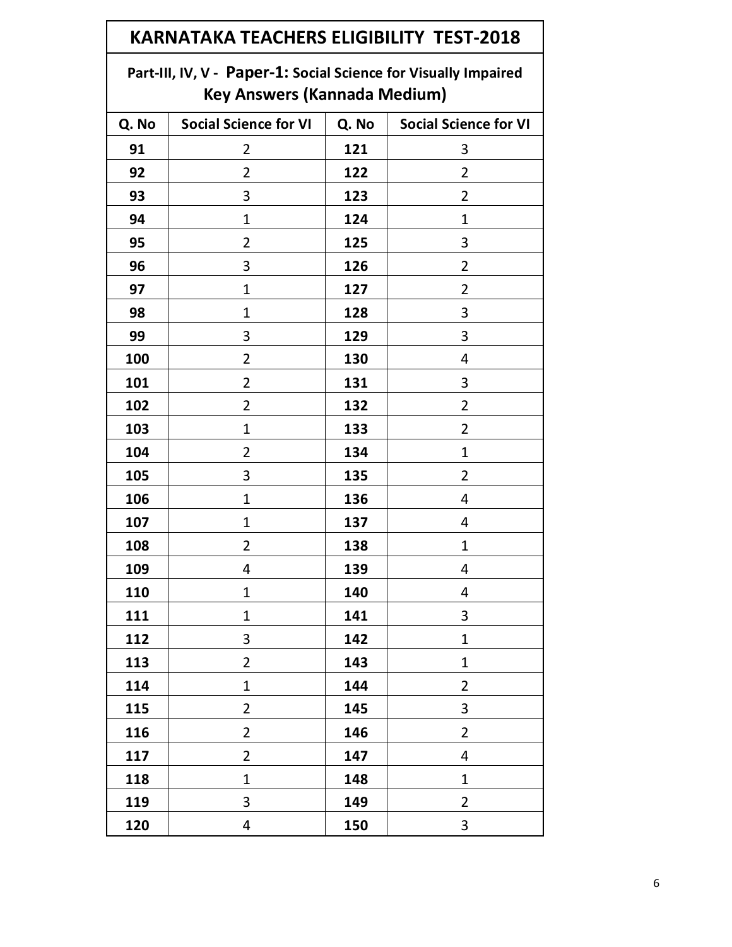| <b>KARNATAKA TEACHERS ELIGIBILITY TEST-2018</b> |                                                                                                        |     |                |  |  |  |
|-------------------------------------------------|--------------------------------------------------------------------------------------------------------|-----|----------------|--|--|--|
|                                                 | Part-III, IV, V - Paper-1: Social Science for Visually Impaired<br><b>Key Answers (Kannada Medium)</b> |     |                |  |  |  |
| Q. No                                           | <b>Social Science for VI</b><br>Q. No<br><b>Social Science for VI</b>                                  |     |                |  |  |  |
| 91                                              | 2                                                                                                      | 121 | 3              |  |  |  |
| 92                                              | 2                                                                                                      | 122 | 2              |  |  |  |
| 93                                              | 3                                                                                                      | 123 | 2              |  |  |  |
| 94                                              | $\mathbf{1}$                                                                                           | 124 | 1              |  |  |  |
| 95                                              | 2                                                                                                      | 125 | 3              |  |  |  |
| 96                                              | 3                                                                                                      | 126 | 2              |  |  |  |
| 97                                              | $\mathbf 1$                                                                                            | 127 | $\overline{2}$ |  |  |  |
| 98                                              | 1                                                                                                      | 128 | 3              |  |  |  |
| 99                                              | 3                                                                                                      | 129 | 3              |  |  |  |
| 100                                             | 2                                                                                                      | 130 | 4              |  |  |  |
| 101                                             | $\overline{2}$                                                                                         | 131 | 3              |  |  |  |
| 102                                             | $\overline{2}$                                                                                         | 132 | $\overline{2}$ |  |  |  |
| 103                                             | 1                                                                                                      | 133 | $\overline{2}$ |  |  |  |
| 104                                             | 2                                                                                                      | 134 | $\mathbf{1}$   |  |  |  |
| 105                                             | 3                                                                                                      | 135 | 2              |  |  |  |
| 106                                             | 1                                                                                                      | 136 | 4              |  |  |  |
| 107                                             | $\mathbf 1$                                                                                            | 137 | 4              |  |  |  |
| 108                                             | 2                                                                                                      | 138 | 1              |  |  |  |
| 109                                             | 4                                                                                                      | 139 | 4              |  |  |  |
| 110                                             | $\mathbf{1}$                                                                                           | 140 | $\overline{4}$ |  |  |  |
| 111                                             | $\mathbf{1}$                                                                                           | 141 | 3              |  |  |  |
| 112                                             | 3                                                                                                      | 142 | $\mathbf{1}$   |  |  |  |
| 113                                             | $\overline{2}$                                                                                         | 143 | $\mathbf{1}$   |  |  |  |
| 114                                             | $\mathbf{1}$                                                                                           | 144 | $\overline{2}$ |  |  |  |
| 115                                             | $\overline{2}$                                                                                         | 145 | 3              |  |  |  |
| 116                                             | $\overline{2}$                                                                                         | 146 | $\overline{2}$ |  |  |  |
| 117                                             | $\overline{2}$                                                                                         | 147 | 4              |  |  |  |
| 118                                             | $\mathbf{1}$                                                                                           | 148 | $\mathbf 1$    |  |  |  |
| 119                                             | 3                                                                                                      | 149 | $\overline{2}$ |  |  |  |
| 120                                             | 4                                                                                                      | 150 | 3              |  |  |  |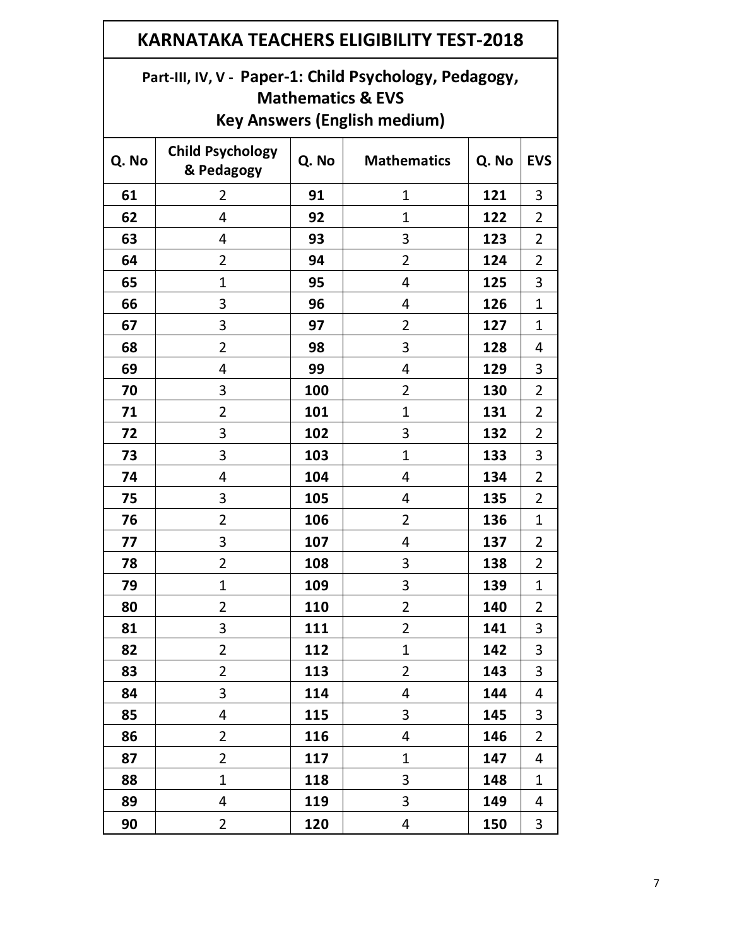| <b>KARNATAKA TEACHERS ELIGIBILITY TEST-2018</b> |                                                                                                                               |       |                    |       |                |  |  |  |
|-------------------------------------------------|-------------------------------------------------------------------------------------------------------------------------------|-------|--------------------|-------|----------------|--|--|--|
|                                                 | Part-III, IV, V - Paper-1: Child Psychology, Pedagogy,<br><b>Mathematics &amp; EVS</b><br><b>Key Answers (English medium)</b> |       |                    |       |                |  |  |  |
| Q. No                                           | <b>Child Psychology</b><br>& Pedagogy                                                                                         | Q. No | <b>Mathematics</b> | Q. No | <b>EVS</b>     |  |  |  |
| 61                                              | $\overline{2}$                                                                                                                | 91    | $\mathbf 1$        | 121   | 3              |  |  |  |
| 62                                              | 4                                                                                                                             | 92    | $\mathbf{1}$       | 122   | $\overline{2}$ |  |  |  |
| 63                                              | 4                                                                                                                             | 93    | 3                  | 123   | $\overline{2}$ |  |  |  |
| 64                                              | 2                                                                                                                             | 94    | $\overline{2}$     | 124   | $\overline{2}$ |  |  |  |
| 65                                              | $\mathbf 1$                                                                                                                   | 95    | 4                  | 125   | 3              |  |  |  |
| 66                                              | 3                                                                                                                             | 96    | 4                  | 126   | $\mathbf 1$    |  |  |  |
| 67                                              | 3                                                                                                                             | 97    | $\overline{2}$     | 127   | $\mathbf{1}$   |  |  |  |
| 68                                              | $\overline{2}$                                                                                                                | 98    | 3                  | 128   | 4              |  |  |  |
| 69                                              | 4                                                                                                                             | 99    | 4                  | 129   | 3              |  |  |  |
| 70                                              | 3                                                                                                                             | 100   | $\overline{2}$     | 130   | $\overline{2}$ |  |  |  |
| 71                                              | $\overline{2}$                                                                                                                | 101   | $\mathbf{1}$       | 131   | $\overline{2}$ |  |  |  |
| 72                                              | 3                                                                                                                             | 102   | 3                  | 132   | 2              |  |  |  |
| 73                                              | 3                                                                                                                             | 103   | $\mathbf 1$        | 133   | 3              |  |  |  |
| 74                                              | 4                                                                                                                             | 104   | 4                  | 134   | 2              |  |  |  |
| 75                                              | 3                                                                                                                             | 105   | 4                  | 135   | $\overline{2}$ |  |  |  |
| 76                                              | 2                                                                                                                             | 106   | $\overline{2}$     | 136   | 1              |  |  |  |
| 77                                              | 3                                                                                                                             | 107   | 4                  | 137   | 2              |  |  |  |
| 78                                              | 2                                                                                                                             | 108   | 3                  | 138   | $\overline{2}$ |  |  |  |
| 79                                              | $\mathbf{1}$                                                                                                                  | 109   | 3                  | 139   | 1              |  |  |  |
| 80                                              | $\overline{2}$                                                                                                                | 110   | $\overline{2}$     | 140   | 2              |  |  |  |
| 81                                              | 3                                                                                                                             | 111   | $\overline{2}$     | 141   | 3              |  |  |  |
| 82                                              | $\overline{2}$                                                                                                                | 112   | $\mathbf{1}$       | 142   | 3              |  |  |  |
| 83                                              | $\overline{2}$                                                                                                                | 113   | $\overline{2}$     | 143   | 3              |  |  |  |
| 84                                              | 3                                                                                                                             | 114   | 4                  | 144   | 4              |  |  |  |
| 85                                              | 4                                                                                                                             | 115   | 3                  | 145   | 3              |  |  |  |
| 86                                              | $\overline{2}$                                                                                                                | 116   | 4                  | 146   | $\overline{2}$ |  |  |  |
| 87                                              | $\overline{2}$                                                                                                                | 117   | $\mathbf{1}$       | 147   | 4              |  |  |  |
| 88                                              | $\mathbf{1}$                                                                                                                  | 118   | 3                  | 148   | 1              |  |  |  |
| 89                                              | 4                                                                                                                             | 119   | 3                  | 149   | 4              |  |  |  |
| 90                                              | $\overline{2}$                                                                                                                | 120   | 4                  | 150   | 3              |  |  |  |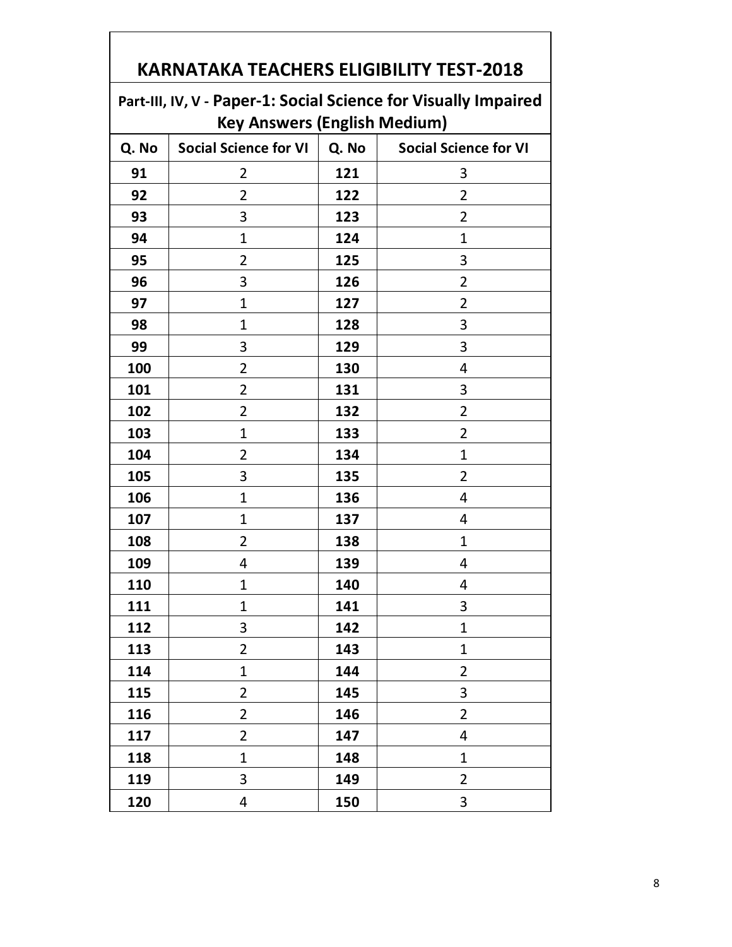| Part-III, IV, V - Paper-1: Social Science for Visually Impaired |                              |       |                              |  |  |  |
|-----------------------------------------------------------------|------------------------------|-------|------------------------------|--|--|--|
| <b>Key Answers (English Medium)</b>                             |                              |       |                              |  |  |  |
| Q. No                                                           | <b>Social Science for VI</b> | Q. No | <b>Social Science for VI</b> |  |  |  |
| 91                                                              | $\overline{2}$               | 121   | 3                            |  |  |  |
| 92                                                              | $\overline{2}$               | 122   | $\overline{2}$               |  |  |  |
| 93                                                              | 3                            | 123   | $\overline{2}$               |  |  |  |
| 94                                                              | 1                            | 124   | $\mathbf 1$                  |  |  |  |
| 95                                                              | $\overline{2}$               | 125   | 3                            |  |  |  |
| 96                                                              | 3                            | 126   | $\overline{2}$               |  |  |  |
| 97                                                              | 1                            | 127   | $\overline{2}$               |  |  |  |
| 98                                                              | 1                            | 128   | 3                            |  |  |  |
| 99                                                              | 3                            | 129   | 3                            |  |  |  |
| 100                                                             | $\overline{2}$               | 130   | 4                            |  |  |  |
| 101                                                             | $\overline{2}$               | 131   | 3                            |  |  |  |
| 102                                                             | $\overline{2}$               | 132   | $\overline{2}$               |  |  |  |
| 103                                                             | $\mathbf 1$                  | 133   | $\overline{2}$               |  |  |  |
| 104                                                             | $\overline{2}$               | 134   | $\mathbf{1}$                 |  |  |  |
| 105                                                             | 3                            | 135   | $\overline{2}$               |  |  |  |
| 106                                                             | $\mathbf{1}$                 | 136   | 4                            |  |  |  |
| 107                                                             | 1                            | 137   | 4                            |  |  |  |
| 108                                                             | $\overline{2}$               | 138   | $\mathbf{1}$                 |  |  |  |
| 109                                                             | 4                            | 139   | 4                            |  |  |  |
| 110                                                             | $\mathbf{1}$                 | 140   | 4                            |  |  |  |
| 111                                                             | $\mathbf 1$                  | 141   | 3                            |  |  |  |
| 112                                                             | 3                            | 142   | 1                            |  |  |  |
| 113                                                             | $\overline{2}$               | 143   | $\mathbf{1}$                 |  |  |  |
| 114                                                             | $\mathbf{1}$                 | 144   | $\overline{2}$               |  |  |  |
| 115                                                             | $\overline{2}$               | 145   | 3                            |  |  |  |
| 116                                                             | $\overline{2}$               | 146   | $\overline{2}$               |  |  |  |
| 117                                                             | $\overline{2}$               | 147   | 4                            |  |  |  |
| 118                                                             | $\mathbf{1}$                 | 148   | $\mathbf{1}$                 |  |  |  |
| 119                                                             | 3                            | 149   | $\overline{2}$               |  |  |  |
| 120                                                             | 4                            | 150   | 3                            |  |  |  |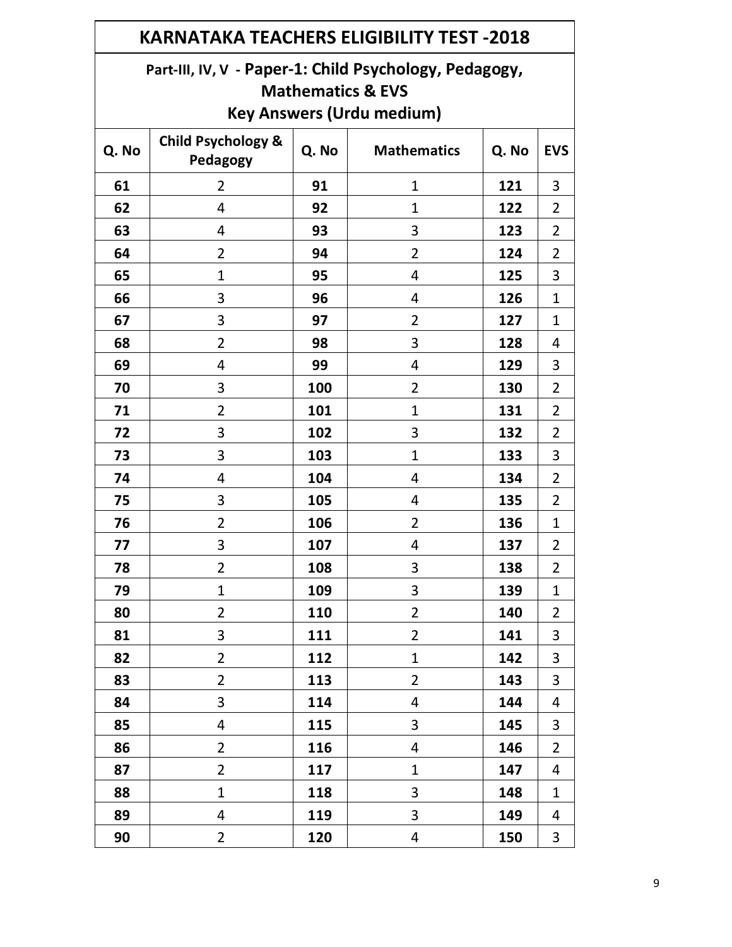| <b>KARNATAKA TEACHERS ELIGIBILITY TEST -2018</b> |                                                                                                                            |       |                    |       |                |  |  |
|--------------------------------------------------|----------------------------------------------------------------------------------------------------------------------------|-------|--------------------|-------|----------------|--|--|
|                                                  | Part-III, IV, V - Paper-1: Child Psychology, Pedagogy,<br><b>Mathematics &amp; EVS</b><br><b>Key Answers (Urdu medium)</b> |       |                    |       |                |  |  |
| Q. No                                            | <b>Child Psychology &amp;</b><br>Pedagogy                                                                                  | Q. No | <b>Mathematics</b> | Q. No | <b>EVS</b>     |  |  |
| 61                                               | $\overline{2}$                                                                                                             | 91    | 1                  | 121   | 3              |  |  |
| 62                                               | 4                                                                                                                          | 92    | $\mathbf{1}$       | 122   | 2              |  |  |
| 63                                               | 4                                                                                                                          | 93    | 3                  | 123   | $\overline{2}$ |  |  |
| 64                                               | $\overline{2}$                                                                                                             | 94    | $\overline{2}$     | 124   | $\overline{2}$ |  |  |
| 65                                               | $\mathbf{1}$                                                                                                               | 95    | 4                  | 125   | 3              |  |  |
| 66                                               | 3                                                                                                                          | 96    | 4                  | 126   | $\mathbf{1}$   |  |  |
| 67                                               | 3                                                                                                                          | 97    | $\overline{2}$     | 127   | $\mathbf{1}$   |  |  |
| 68                                               | $\overline{2}$                                                                                                             | 98    | 3                  | 128   | 4              |  |  |
| 69                                               | 4                                                                                                                          | 99    | 4                  | 129   | 3              |  |  |
| 70                                               | 3                                                                                                                          | 100   | $\overline{2}$     | 130   | 2              |  |  |
| 71                                               | 2                                                                                                                          | 101   | $\mathbf{1}$       | 131   | $\overline{2}$ |  |  |
| 72                                               | 3                                                                                                                          | 102   | 3                  | 132   | $\overline{2}$ |  |  |
| 73                                               | 3                                                                                                                          | 103   | $\mathbf{1}$       | 133   | 3              |  |  |
| 74                                               | 4                                                                                                                          | 104   | 4                  | 134   | $\overline{2}$ |  |  |
| 75                                               | 3                                                                                                                          | 105   | 4                  | 135   | $\overline{2}$ |  |  |
| 76                                               | $\overline{2}$                                                                                                             | 106   | $\overline{2}$     | 136   | $\mathbf 1$    |  |  |
| 77                                               | 3                                                                                                                          | 107   | 4                  | 137   | $\overline{2}$ |  |  |
| 78                                               | $\overline{2}$                                                                                                             | 108   | 3                  | 138   | $\overline{2}$ |  |  |
| 79                                               | $\mathbf{1}$                                                                                                               | 109   | 3                  | 139   | $\mathbf{1}$   |  |  |
| 80                                               | $\overline{2}$                                                                                                             | 110   | $\overline{2}$     | 140   | $\overline{2}$ |  |  |
| 81                                               | 3                                                                                                                          | 111   | $\overline{2}$     | 141   | 3              |  |  |
| 82                                               | $\overline{2}$                                                                                                             | 112   | $\mathbf{1}$       | 142   | 3              |  |  |
| 83                                               | $\overline{2}$                                                                                                             | 113   | $\overline{2}$     | 143   | 3              |  |  |
| 84                                               | 3                                                                                                                          | 114   | 4                  | 144   | 4              |  |  |
| 85                                               | 4                                                                                                                          | 115   | 3                  | 145   | 3              |  |  |
| 86                                               | $\overline{2}$                                                                                                             | 116   | 4                  | 146   | $\overline{2}$ |  |  |
| 87                                               | $\overline{2}$                                                                                                             | 117   | $\mathbf{1}$       | 147   | 4              |  |  |
| 88                                               | $\mathbf{1}$                                                                                                               | 118   | 3                  | 148   | $\mathbf{1}$   |  |  |
| 89                                               | 4                                                                                                                          | 119   | 3                  | 149   | 4              |  |  |
| 90                                               | $\overline{2}$                                                                                                             | 120   | 4                  | 150   | 3              |  |  |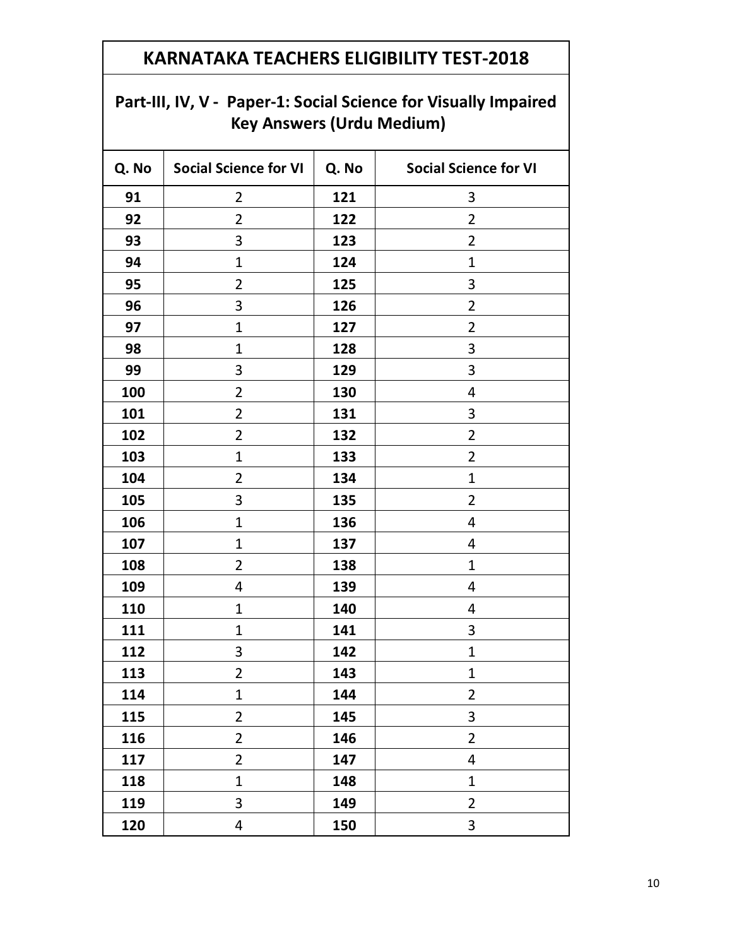| <b>Key Answers (Urdu Medium)</b> |                              |       |                              |  |  |
|----------------------------------|------------------------------|-------|------------------------------|--|--|
| Q. No                            | <b>Social Science for VI</b> | Q. No | <b>Social Science for VI</b> |  |  |
| 91                               | 2                            | 121   | 3                            |  |  |
| 92                               | $\overline{2}$               | 122   | $\overline{2}$               |  |  |
| 93                               | 3                            | 123   | $\overline{2}$               |  |  |
| 94                               | 1                            | 124   | $\mathbf{1}$                 |  |  |
| 95                               | 2                            | 125   | 3                            |  |  |
| 96                               | 3                            | 126   | 2                            |  |  |
| 97                               | $\mathbf 1$                  | 127   | $\overline{2}$               |  |  |
| 98                               | $\mathbf 1$                  | 128   | 3                            |  |  |
| 99                               | 3                            | 129   | 3                            |  |  |
| 100                              | $\overline{2}$               | 130   | 4                            |  |  |
| 101                              | $\overline{2}$               | 131   | 3                            |  |  |
| 102                              | $\overline{2}$               | 132   | $\overline{2}$               |  |  |
| 103                              | $\mathbf 1$                  | 133   | $\overline{2}$               |  |  |
| 104                              | 2                            | 134   | $\mathbf{1}$                 |  |  |
| 105                              | 3                            | 135   | $\overline{2}$               |  |  |
| 106                              | 1                            | 136   | 4                            |  |  |
| 107                              | $\mathbf 1$                  | 137   | 4                            |  |  |
| 108                              | $\overline{2}$               | 138   | $\mathbf{1}$                 |  |  |
| 109                              | 4                            | 139   | 4                            |  |  |
| 110                              | $\mathbf 1$                  | 140   | 4                            |  |  |
| 111                              | $\mathbf 1$                  | 141   | 3                            |  |  |
| 112                              | 3                            | 142   | $\mathbf{1}$                 |  |  |
| 113                              | $\overline{2}$               | 143   | $\mathbf{1}$                 |  |  |
| 114                              | $\mathbf{1}$                 | 144   | $\overline{2}$               |  |  |
| 115                              | $\overline{2}$               | 145   | 3                            |  |  |
| 116                              | $\overline{2}$               | 146   | $\overline{2}$               |  |  |
| 117                              | $\overline{2}$               | 147   | $\overline{4}$               |  |  |
| 118                              | $\mathbf{1}$                 | 148   | $\mathbf{1}$                 |  |  |
| 119                              | 3                            | 149   | $\overline{2}$               |  |  |
| 120                              | 4                            | 150   | 3                            |  |  |

# **Part-III, IV, V - Paper-1: Social Science for Visually Impaired**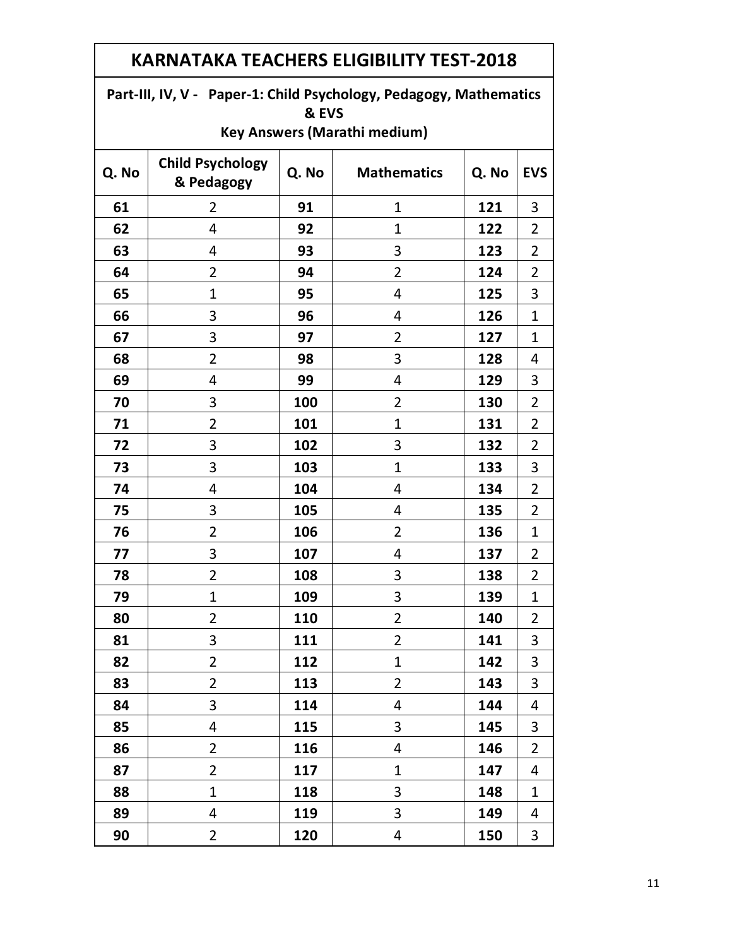| Part-III, IV, V - Paper-1: Child Psychology, Pedagogy, Mathematics |                                              |       |                    |       |                |  |  |
|--------------------------------------------------------------------|----------------------------------------------|-------|--------------------|-------|----------------|--|--|
|                                                                    | & EVS<br><b>Key Answers (Marathi medium)</b> |       |                    |       |                |  |  |
| Q. No                                                              | <b>Child Psychology</b><br>& Pedagogy        | Q. No | <b>Mathematics</b> | Q. No | <b>EVS</b>     |  |  |
| 61                                                                 | 2                                            | 91    | $\mathbf{1}$       | 121   | 3              |  |  |
| 62                                                                 | 4                                            | 92    | $\mathbf{1}$       | 122   | 2              |  |  |
| 63                                                                 | 4                                            | 93    | 3                  | 123   | 2              |  |  |
| 64                                                                 | 2                                            | 94    | 2                  | 124   | 2              |  |  |
| 65                                                                 | 1                                            | 95    | 4                  | 125   | 3              |  |  |
| 66                                                                 | 3                                            | 96    | 4                  | 126   | 1              |  |  |
| 67                                                                 | 3                                            | 97    | $\overline{2}$     | 127   | 1              |  |  |
| 68                                                                 | $\overline{2}$                               | 98    | 3                  | 128   | 4              |  |  |
| 69                                                                 | 4                                            | 99    | 4                  | 129   | 3              |  |  |
| 70                                                                 | 3                                            | 100   | $\overline{2}$     | 130   | 2              |  |  |
| 71                                                                 | 2                                            | 101   | 1                  | 131   | 2              |  |  |
| 72                                                                 | 3                                            | 102   | 3                  | 132   | $\overline{2}$ |  |  |
| 73                                                                 | 3                                            | 103   | 1                  | 133   | 3              |  |  |
| 74                                                                 | 4                                            | 104   | 4                  | 134   | $\overline{2}$ |  |  |
| 75                                                                 | 3                                            | 105   | 4                  | 135   | $\overline{2}$ |  |  |
| 76                                                                 | $\overline{2}$                               | 106   | $\overline{2}$     | 136   | 1              |  |  |
| 77                                                                 | 3                                            | 107   | 4                  | 137   | 2              |  |  |
| 78                                                                 | 2                                            | 108   | 3                  | 138   | 2              |  |  |
| 79                                                                 | 1                                            | 109   | 3                  | 139   | 1              |  |  |
| 80                                                                 | 2                                            | 110   | $\overline{2}$     | 140   | 2              |  |  |
| 81                                                                 | 3                                            | 111   | $\overline{2}$     | 141   | 3              |  |  |
| 82                                                                 | $\overline{2}$                               | 112   | $\mathbf 1$        | 142   | 3              |  |  |
| 83                                                                 | $\overline{2}$                               | 113   | $\overline{2}$     | 143   | 3              |  |  |
| 84                                                                 | 3                                            | 114   | 4                  | 144   | 4              |  |  |
| 85                                                                 | 4                                            | 115   | 3                  | 145   | 3              |  |  |
| 86                                                                 | $\overline{2}$                               | 116   | 4                  | 146   | $\overline{2}$ |  |  |
| 87                                                                 | $\overline{2}$                               | 117   | $\mathbf 1$        | 147   | 4              |  |  |
| 88                                                                 | $\mathbf{1}$                                 | 118   | 3                  | 148   | 1              |  |  |
| 89                                                                 | 4                                            | 119   | 3                  | 149   | 4              |  |  |
| 90                                                                 | $\overline{2}$                               | 120   | $\overline{4}$     | 150   | 3              |  |  |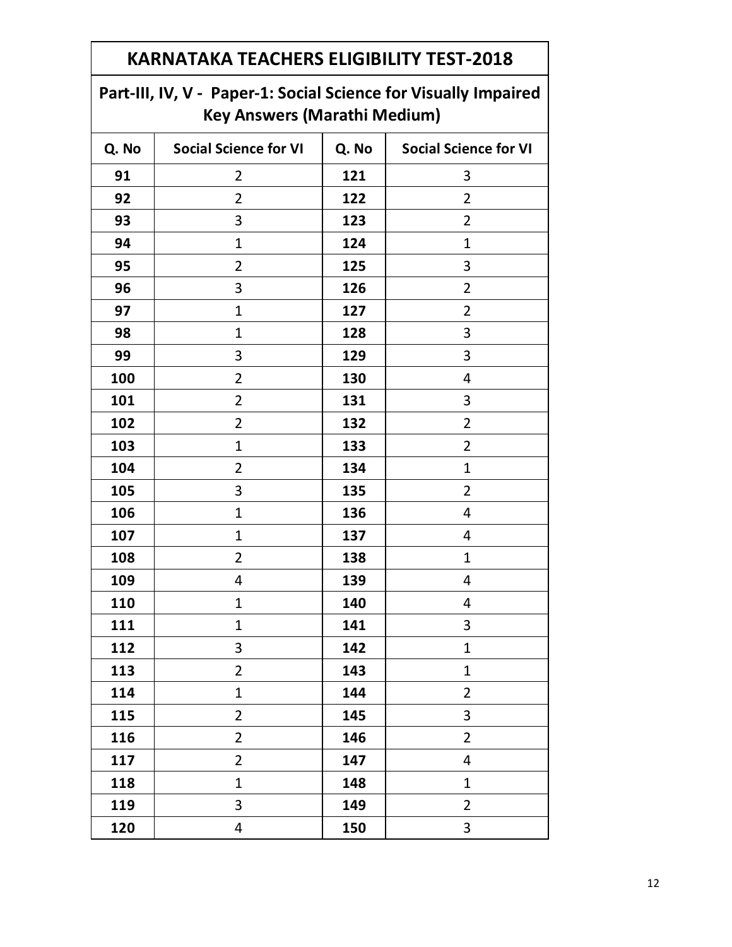|            | <b>KARNATAKA TEACHERS ELIGIBILITY TEST-2018</b>                                                        |     |                |  |  |  |
|------------|--------------------------------------------------------------------------------------------------------|-----|----------------|--|--|--|
|            | Part-III, IV, V - Paper-1: Social Science for Visually Impaired<br><b>Key Answers (Marathi Medium)</b> |     |                |  |  |  |
| Q. No      | <b>Social Science for VI</b><br>Q. No<br><b>Social Science for VI</b>                                  |     |                |  |  |  |
| 91         | $\overline{2}$                                                                                         | 121 | 3              |  |  |  |
| 92         | 2                                                                                                      | 122 | 2              |  |  |  |
| 93         | 3                                                                                                      | 123 | $\overline{2}$ |  |  |  |
| 94         | $\mathbf{1}$                                                                                           | 124 | $\mathbf{1}$   |  |  |  |
| 95         | $\overline{2}$                                                                                         | 125 | 3              |  |  |  |
| 96         | 3                                                                                                      | 126 | $\overline{2}$ |  |  |  |
| 97         | $\mathbf{1}$                                                                                           | 127 | $\overline{2}$ |  |  |  |
| 98         | $\mathbf{1}$                                                                                           | 128 | 3              |  |  |  |
| 99         | 3                                                                                                      | 129 | 3              |  |  |  |
| 100        | $\overline{2}$                                                                                         | 130 | 4              |  |  |  |
| 101        | $\overline{2}$                                                                                         | 131 | 3              |  |  |  |
| 102        | $\overline{2}$                                                                                         | 132 | $\overline{2}$ |  |  |  |
| 103        | 1                                                                                                      | 133 | 2              |  |  |  |
| 104        | $\overline{2}$                                                                                         | 134 | $\mathbf{1}$   |  |  |  |
| 105        | 3                                                                                                      | 135 | $\overline{2}$ |  |  |  |
| 106        | $\mathbf{1}$                                                                                           | 136 | 4              |  |  |  |
| 107        | 1                                                                                                      | 137 | 4              |  |  |  |
| 108        | 2                                                                                                      | 138 | $\mathbf{1}$   |  |  |  |
| <b>109</b> | 4                                                                                                      | 139 | 4              |  |  |  |
| 110        | $\mathbf{1}$                                                                                           | 140 | 4              |  |  |  |
| 111        | $\mathbf{1}$                                                                                           | 141 | 3              |  |  |  |
| 112        | 3                                                                                                      | 142 | $\mathbf{1}$   |  |  |  |
| 113        | $\overline{2}$                                                                                         | 143 | $\mathbf{1}$   |  |  |  |
| 114        | $\mathbf{1}$                                                                                           | 144 | $\overline{2}$ |  |  |  |
| 115        | $\overline{2}$                                                                                         | 145 | 3              |  |  |  |
| 116        | $\overline{2}$                                                                                         | 146 | $\overline{2}$ |  |  |  |
| 117        | $\overline{2}$                                                                                         | 147 | 4              |  |  |  |
| 118        | $\mathbf{1}$                                                                                           | 148 | $\mathbf{1}$   |  |  |  |
| 119        | 3                                                                                                      | 149 | $\overline{2}$ |  |  |  |
| 120        | 4                                                                                                      | 150 | 3              |  |  |  |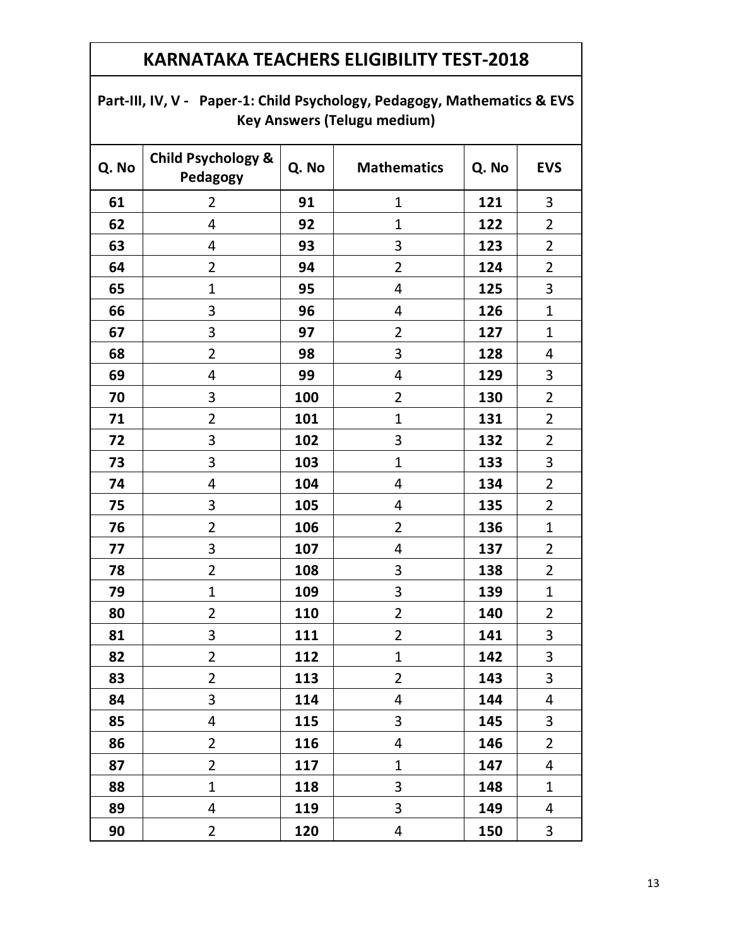| Part-III, IV, V - Paper-1: Child Psychology, Pedagogy, Mathematics & EVS |
|--------------------------------------------------------------------------|
| <b>Key Answers (Telugu medium)</b>                                       |

| Q. No | <b>Child Psychology &amp;</b><br>Pedagogy | Q. No | <b>Mathematics</b> | Q. No | <b>EVS</b>     |
|-------|-------------------------------------------|-------|--------------------|-------|----------------|
| 61    | $\overline{2}$                            | 91    | $\mathbf{1}$       | 121   | $\mathbf{3}$   |
| 62    | 4                                         | 92    | $\mathbf{1}$       | 122   | $\overline{2}$ |
| 63    | $\overline{4}$                            | 93    | 3                  | 123   | $\overline{2}$ |
| 64    | $\overline{2}$                            | 94    | $\overline{2}$     | 124   | $\overline{2}$ |
| 65    | $\mathbf 1$                               | 95    | $\overline{4}$     | 125   | 3              |
| 66    | 3                                         | 96    | $\overline{4}$     | 126   | $\mathbf{1}$   |
| 67    | 3                                         | 97    | $\overline{2}$     | 127   | $\mathbf 1$    |
| 68    | $\overline{2}$                            | 98    | 3                  | 128   | 4              |
| 69    | 4                                         | 99    | 4                  | 129   | 3              |
| 70    | 3                                         | 100   | $\overline{2}$     | 130   | $\overline{2}$ |
| 71    | $\overline{2}$                            | 101   | $\mathbf{1}$       | 131   | $\overline{2}$ |
| 72    | 3                                         | 102   | 3                  | 132   | $\overline{2}$ |
| 73    | 3                                         | 103   | $\mathbf{1}$       | 133   | 3              |
| 74    | 4                                         | 104   | $\overline{4}$     | 134   | $\overline{2}$ |
| 75    | 3                                         | 105   | $\overline{4}$     | 135   | $\overline{2}$ |
| 76    | $\overline{2}$                            | 106   | $\overline{2}$     | 136   | $\mathbf{1}$   |
| 77    | 3                                         | 107   | 4                  | 137   | $\overline{2}$ |
| 78    | $\overline{2}$                            | 108   | 3                  | 138   | $\overline{2}$ |
| 79    | $\mathbf{1}$                              | 109   | 3                  | 139   | $\mathbf 1$    |
| 80    | $\overline{2}$                            | 110   | $\overline{2}$     | 140   | $\overline{2}$ |
| 81    | 3                                         | 111   | $\overline{2}$     | 141   | 3              |
| 82    | $\overline{2}$                            | 112   | $\mathbf 1$        | 142   | 3              |
| 83    | $\overline{2}$                            | 113   | 2                  | 143   | 3              |
| 84    | $\overline{3}$                            | 114   | $\overline{4}$     | 144   | $\overline{4}$ |
| 85    | 4                                         | 115   | 3                  | 145   | 3              |
| 86    | $\overline{2}$                            | 116   | 4                  | 146   | $\overline{2}$ |
| 87    | $\overline{2}$                            | 117   | $\mathbf{1}$       | 147   | 4              |
| 88    | $\mathbf{1}$                              | 118   | 3                  | 148   | $\mathbf 1$    |
| 89    | 4                                         | 119   | $\overline{3}$     | 149   | 4              |
| 90    | $\overline{2}$                            | 120   | 4                  | 150   | $\mathbf{3}$   |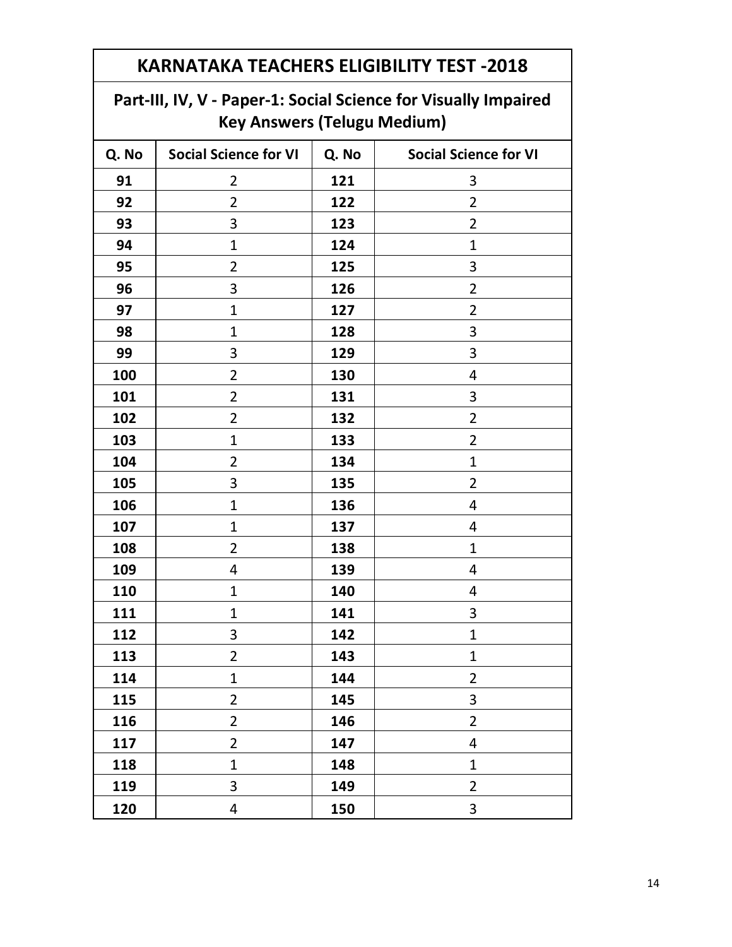#### **Part-III, IV, V - Paper-1: Social Science for Visually Impaired Key Answers (Telugu Medium)**

| Q. No | <b>Social Science for VI</b> | Q. No | <b>Social Science for VI</b> |
|-------|------------------------------|-------|------------------------------|
| 91    | 2                            | 121   | 3                            |
| 92    | $\overline{2}$               | 122   | $\overline{2}$               |
| 93    | 3                            | 123   | 2                            |
| 94    | $\mathbf 1$                  | 124   | $\mathbf 1$                  |
| 95    | $\overline{2}$               | 125   | 3                            |
| 96    | 3                            | 126   | $\overline{2}$               |
| 97    | 1                            | 127   | $\overline{2}$               |
| 98    | 1                            | 128   | 3                            |
| 99    | 3                            | 129   | 3                            |
| 100   | $\overline{2}$               | 130   | 4                            |
| 101   | $\overline{2}$               | 131   | 3                            |
| 102   | $\overline{2}$               | 132   | $\overline{2}$               |
| 103   | $\mathbf{1}$                 | 133   | $\overline{2}$               |
| 104   | $\overline{2}$               | 134   | $\mathbf{1}$                 |
| 105   | 3                            | 135   | $\overline{2}$               |
| 106   | $\overline{1}$               | 136   | 4                            |
| 107   | 1                            | 137   | 4                            |
| 108   | $\overline{2}$               | 138   | $\mathbf{1}$                 |
| 109   | 4                            | 139   | 4                            |
| 110   | $\mathbf{1}$                 | 140   | 4                            |
| 111   | $\mathbf{1}$                 | 141   | 3                            |
| 112   | 3                            | 142   | $\mathbf{1}$                 |
| 113   | $\overline{2}$               | 143   | $\mathbf{1}$                 |
| 114   | $\mathbf{1}$                 | 144   | $\overline{2}$               |
| 115   | $\overline{2}$               | 145   | 3                            |
| 116   | $\overline{2}$               | 146   | $\overline{2}$               |
| 117   | $\overline{2}$               | 147   | 4                            |
| 118   | $\mathbf{1}$                 | 148   | $\mathbf{1}$                 |
| 119   | $\overline{\mathbf{3}}$      | 149   | $\overline{2}$               |
| 120   | 4                            | 150   | 3                            |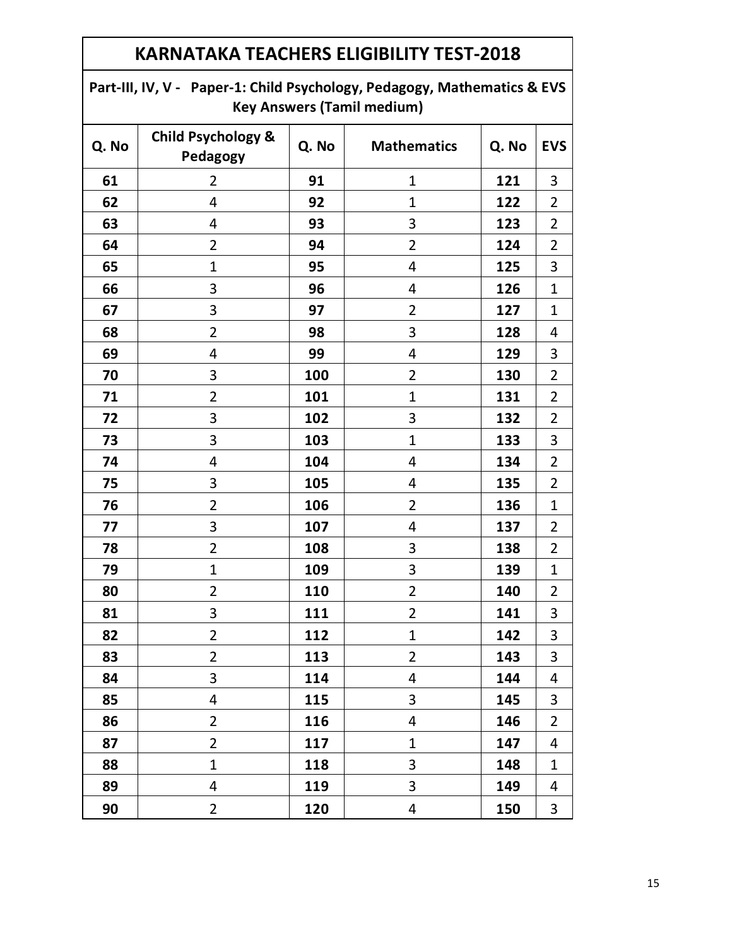| <b>Key Answers (Tamil medium)</b> |                                           |                             |                |       |                |  |  |  |
|-----------------------------------|-------------------------------------------|-----------------------------|----------------|-------|----------------|--|--|--|
| Q. No                             | <b>Child Psychology &amp;</b><br>Pedagogy | <b>Mathematics</b><br>Q. No |                | Q. No | <b>EVS</b>     |  |  |  |
| 61                                | $\overline{2}$                            | 91                          | 1              | 121   | 3              |  |  |  |
| 62                                | 4                                         | 92                          | 1              | 122   | $\overline{2}$ |  |  |  |
| 63                                | 4                                         | 93                          | 3              | 123   | $\overline{2}$ |  |  |  |
| 64                                | $\overline{2}$                            | 94                          | $\overline{2}$ | 124   | $\overline{2}$ |  |  |  |
| 65                                | $\mathbf{1}$                              | 95                          | 4              | 125   | 3              |  |  |  |
| 66                                | 3                                         | 96                          | 4              | 126   | $\mathbf{1}$   |  |  |  |
| 67                                | 3                                         | 97                          | $\overline{2}$ | 127   | $\mathbf{1}$   |  |  |  |
| 68                                | $\overline{2}$                            | 98                          | 3              | 128   | 4              |  |  |  |
| 69                                | 4                                         | 99                          | 4              | 129   | 3              |  |  |  |
| 70                                | 3                                         | 100                         | $\overline{2}$ | 130   | $\overline{2}$ |  |  |  |
| 71                                | $\overline{2}$                            | 101                         | $\mathbf{1}$   | 131   | $\overline{2}$ |  |  |  |
| 72                                | 3                                         | 102                         | 3              | 132   | $\overline{2}$ |  |  |  |
| 73                                | 3                                         | 103                         | $\overline{1}$ | 133   | 3              |  |  |  |
| 74                                | 4                                         | 104                         | 4              | 134   | $\overline{2}$ |  |  |  |
| 75                                | 3                                         | 105                         | $\overline{4}$ | 135   | $\overline{2}$ |  |  |  |
| 76                                | $\overline{2}$                            | 106                         | $\overline{2}$ | 136   | $\mathbf{1}$   |  |  |  |
| 77                                | 3                                         | 107                         | 4              | 137   | $\overline{2}$ |  |  |  |
| 78                                | $\overline{2}$                            | 108                         | 3              | 138   | $\overline{2}$ |  |  |  |
| 79                                | $\mathbf{1}$                              | 109                         | 3              | 139   | $\mathbf{1}$   |  |  |  |
| 80                                | $\overline{2}$                            | 110                         | $\overline{2}$ | 140   | $\overline{2}$ |  |  |  |
| 81                                | 3                                         | 111                         | $\overline{2}$ | 141   | 3              |  |  |  |
| 82                                | $\overline{2}$                            | 112                         | $\mathbf 1$    | 142   | 3              |  |  |  |
| 83                                | $\overline{2}$                            | 113                         | $\overline{2}$ | 143   | 3              |  |  |  |
| 84                                | 3                                         | 114                         | 4              | 144   | 4              |  |  |  |
| 85                                | 4                                         | 115                         | 3              | 145   | 3              |  |  |  |
| 86                                | $\overline{2}$                            | 116                         | 4              | 146   | $\overline{2}$ |  |  |  |
| 87                                | $\overline{2}$                            | 117                         | $\overline{1}$ | 147   | 4              |  |  |  |
| 88                                | $\mathbf{1}$                              | 118                         | 3              | 148   | $\mathbf{1}$   |  |  |  |
| 89                                | 4                                         | 119                         | 3              | 149   | 4              |  |  |  |
| 90                                | $\overline{2}$                            | 120                         | $\overline{4}$ | 150   | 3              |  |  |  |

**Part-III, IV, V - Paper-1: Child Psychology, Pedagogy, Mathematics & EVS**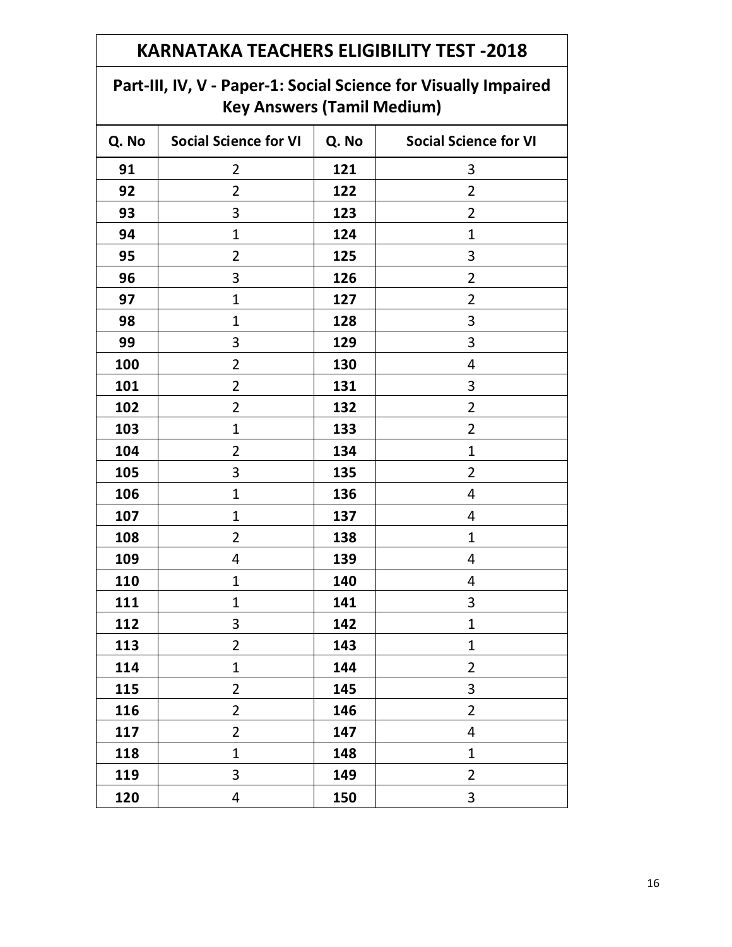### **Part-III, IV, V - Paper-1: Social Science for Visually Impaired Key Answers (Tamil Medium)**

| Q. No | <b>Social Science for VI</b> | Q. No | <b>Social Science for VI</b> |
|-------|------------------------------|-------|------------------------------|
| 91    | $\overline{2}$               | 121   | 3                            |
| 92    | $\overline{2}$               | 122   | $\overline{2}$               |
| 93    | 3                            | 123   | $\overline{2}$               |
| 94    | $\mathbf{1}$                 | 124   | $\mathbf 1$                  |
| 95    | $\overline{2}$               | 125   | 3                            |
| 96    | 3                            | 126   | $\overline{2}$               |
| 97    | $\mathbf{1}$                 | 127   | $\overline{2}$               |
| 98    | $\mathbf{1}$                 | 128   | 3                            |
| 99    | 3                            | 129   | 3                            |
| 100   | $\overline{2}$               | 130   | 4                            |
| 101   | $\overline{2}$               | 131   | 3                            |
| 102   | $\overline{2}$               | 132   | $\overline{2}$               |
| 103   | $\mathbf 1$                  | 133   | $\overline{2}$               |
| 104   | $\overline{2}$               | 134   | $\mathbf{1}$                 |
| 105   | 3                            | 135   | $\overline{2}$               |
| 106   | $\overline{1}$               | 136   | 4                            |
| 107   | $\mathbf 1$                  | 137   | 4                            |
| 108   | $\overline{2}$               | 138   | $\mathbf{1}$                 |
| 109   | 4                            | 139   | 4                            |
| 110   | $\mathbf 1$                  | 140   | 4                            |
| 111   | $\mathbf 1$                  | 141   | 3                            |
| 112   | 3                            | 142   | $\mathbf{1}$                 |
| 113   | $\overline{2}$               | 143   | $\mathbf{1}$                 |
| 114   | $\mathbf 1$                  | 144   | $\overline{2}$               |
| 115   | $\overline{2}$               | 145   | 3                            |
| 116   | $\overline{2}$               | 146   | $\overline{2}$               |
| 117   | $\overline{2}$               | 147   | 4                            |
| 118   | $\mathbf{1}$                 | 148   | $\mathbf{1}$                 |
| 119   | 3                            | 149   | $\overline{2}$               |
| 120   | 4                            | 150   | $\mathbf{3}$                 |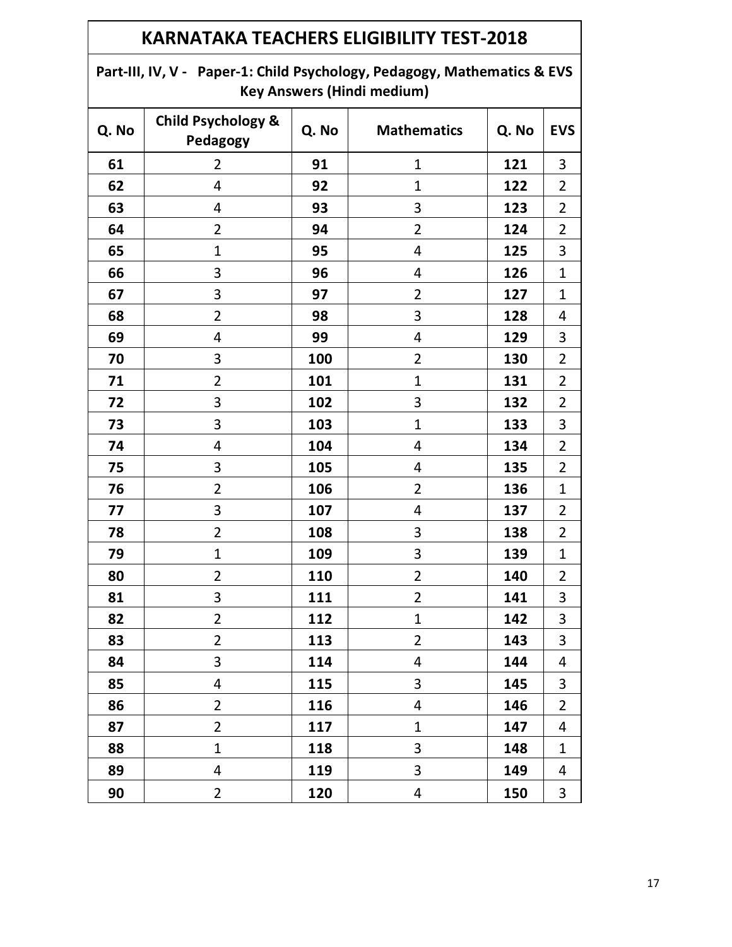#### **Part-III, IV, V - Paper-1: Child Psychology, Pedagogy, Mathematics & EVS Key Answers (Hindi medium)**

| Q. No | <b>Child Psychology &amp;</b><br>Pedagogy | Q. No | <b>Mathematics</b>      | Q. No | <b>EVS</b>              |
|-------|-------------------------------------------|-------|-------------------------|-------|-------------------------|
| 61    | $\overline{2}$                            | 91    | $\overline{1}$          | 121   | 3                       |
| 62    | 4                                         | 92    | $\mathbf{1}$            | 122   | $\overline{2}$          |
| 63    | 4                                         | 93    | 3                       | 123   | $\overline{2}$          |
| 64    | $\overline{2}$                            | 94    | $\overline{2}$          | 124   | $\overline{2}$          |
| 65    | $\mathbf 1$                               | 95    | 4                       | 125   | 3                       |
| 66    | 3                                         | 96    | 4                       | 126   | $\mathbf{1}$            |
| 67    | 3                                         | 97    | $\overline{2}$          | 127   | $\mathbf{1}$            |
| 68    | $\overline{2}$                            | 98    | 3                       | 128   | $\overline{4}$          |
| 69    | 4                                         | 99    | 4                       | 129   | 3                       |
| 70    | $\mathbf{3}$                              | 100   | $\overline{2}$          | 130   | $\overline{2}$          |
| 71    | $\overline{2}$                            | 101   | $\overline{1}$          | 131   | $\overline{2}$          |
| 72    | 3                                         | 102   | 3                       | 132   | $\overline{2}$          |
| 73    | 3                                         | 103   | $\overline{1}$          | 133   | 3                       |
| 74    | $\overline{4}$                            | 104   | 4                       | 134   | $\overline{2}$          |
| 75    | 3                                         | 105   | 4                       | 135   | $\overline{2}$          |
| 76    | $\overline{2}$                            | 106   | $\overline{2}$          | 136   | $\mathbf{1}$            |
| 77    | 3                                         | 107   | $\overline{4}$          | 137   | $\overline{2}$          |
| 78    | $\overline{2}$                            | 108   | 3                       | 138   | $\overline{2}$          |
| 79    | $\mathbf 1$                               | 109   | 3                       | 139   | $\mathbf 1$             |
| 80    | $\overline{2}$                            | 110   | $\overline{\mathbf{c}}$ | 140   | $\overline{2}$          |
| 81    | 3                                         | 111   | $\overline{\mathbf{c}}$ | 141   | $\overline{\mathbf{3}}$ |
| 82    | $\overline{2}$                            | 112   | $\mathbf{1}$            | 142   | 3                       |
| 83    | $\overline{2}$                            | 113   | $\overline{\mathbf{c}}$ | 143   | 3                       |
| 84    | 3                                         | 114   | $\overline{4}$          | 144   | 4                       |
| 85    | 4                                         | 115   | 3                       | 145   | 3                       |
| 86    | $\overline{2}$                            | 116   | 4                       | 146   | $\overline{2}$          |
| 87    | $\overline{2}$                            | 117   | 1                       | 147   | 4                       |
| 88    | $\mathbf{1}$                              | 118   | 3                       | 148   | $\mathbf{1}$            |
| 89    | 4                                         | 119   | 3                       | 149   | 4                       |
| 90    | $\overline{2}$                            | 120   | 4                       | 150   | 3                       |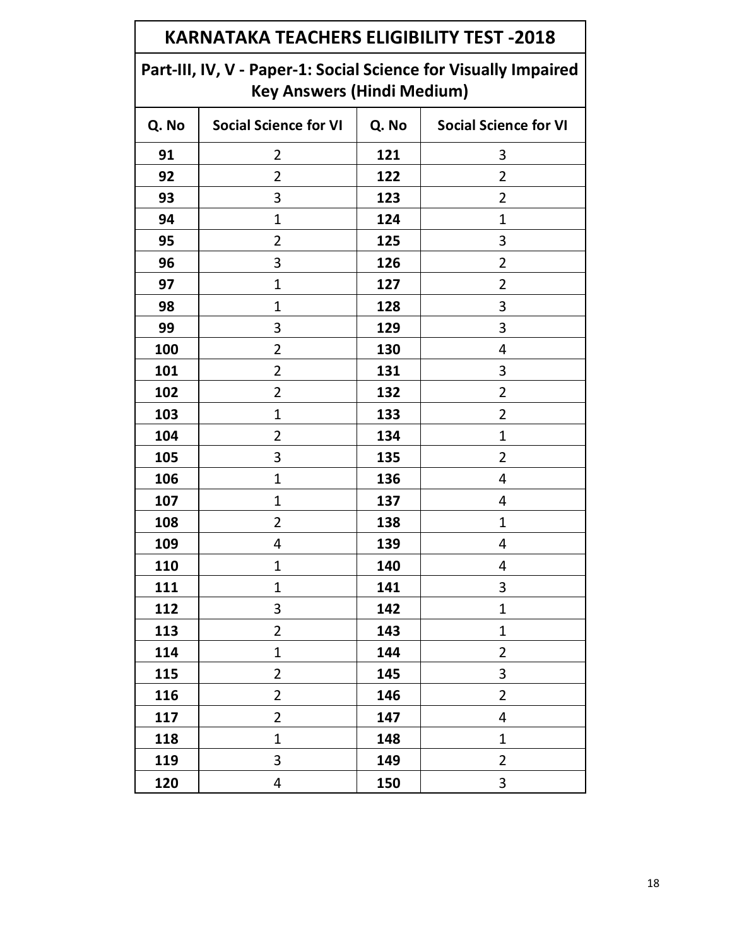| <b>KARNATAKA TEACHERS ELIGIBILITY TEST -2018</b>                                                     |                                                                       |     |                |  |  |  |  |
|------------------------------------------------------------------------------------------------------|-----------------------------------------------------------------------|-----|----------------|--|--|--|--|
| Part-III, IV, V - Paper-1: Social Science for Visually Impaired<br><b>Key Answers (Hindi Medium)</b> |                                                                       |     |                |  |  |  |  |
| Q. No                                                                                                | <b>Social Science for VI</b><br><b>Social Science for VI</b><br>Q. No |     |                |  |  |  |  |
| 91                                                                                                   | $\overline{2}$                                                        | 121 | 3              |  |  |  |  |
| 92                                                                                                   | $\overline{2}$                                                        | 122 | $\overline{2}$ |  |  |  |  |
| 93                                                                                                   | 3                                                                     | 123 | $\overline{2}$ |  |  |  |  |
| 94                                                                                                   | $\mathbf{1}$                                                          | 124 | $\mathbf{1}$   |  |  |  |  |
| 95                                                                                                   | $\overline{2}$                                                        | 125 | 3              |  |  |  |  |
| 96                                                                                                   | 3                                                                     | 126 | $\overline{2}$ |  |  |  |  |
| 97                                                                                                   | $\mathbf{1}$                                                          | 127 | $\overline{2}$ |  |  |  |  |
| 98                                                                                                   | $\mathbf 1$                                                           | 128 | 3              |  |  |  |  |
| 99                                                                                                   | 3                                                                     | 129 | 3              |  |  |  |  |
| 100                                                                                                  | $\overline{2}$                                                        | 130 | 4              |  |  |  |  |
| 101                                                                                                  | $\overline{2}$                                                        | 131 | 3              |  |  |  |  |
| 102                                                                                                  | $\overline{2}$                                                        | 132 | $\overline{2}$ |  |  |  |  |
| 103                                                                                                  | $\mathbf{1}$                                                          | 133 | $\overline{2}$ |  |  |  |  |
| 104                                                                                                  | 2                                                                     | 134 | 1              |  |  |  |  |
| 105                                                                                                  | 3                                                                     | 135 | $\overline{2}$ |  |  |  |  |
| 106                                                                                                  | $\mathbf{1}$                                                          | 136 | 4              |  |  |  |  |
| 107                                                                                                  | 1                                                                     | 137 | 4              |  |  |  |  |
| 108                                                                                                  | 2                                                                     | 138 | $\mathbf{1}$   |  |  |  |  |
| 109                                                                                                  | 4                                                                     | 139 | 4              |  |  |  |  |
| 110                                                                                                  | $\mathbf{1}$                                                          | 140 | 4              |  |  |  |  |
| 111                                                                                                  | $\mathbf{1}$                                                          | 141 | 3              |  |  |  |  |
| 112                                                                                                  | 3                                                                     | 142 | $\overline{1}$ |  |  |  |  |
| 113                                                                                                  | $\overline{2}$                                                        | 143 | $\mathbf 1$    |  |  |  |  |
| 114                                                                                                  | $\mathbf{1}$                                                          | 144 | $\overline{2}$ |  |  |  |  |
| 115                                                                                                  | $\overline{2}$                                                        | 145 | 3              |  |  |  |  |
| 116                                                                                                  | $\overline{2}$                                                        | 146 | $\overline{2}$ |  |  |  |  |
| 117                                                                                                  | $\overline{2}$                                                        | 147 | 4              |  |  |  |  |
| 118                                                                                                  | $\mathbf{1}$                                                          | 148 | $\mathbf 1$    |  |  |  |  |
| 119                                                                                                  | 3                                                                     | 149 | $\overline{2}$ |  |  |  |  |
| 120                                                                                                  | 4                                                                     | 150 | $\mathbf{3}$   |  |  |  |  |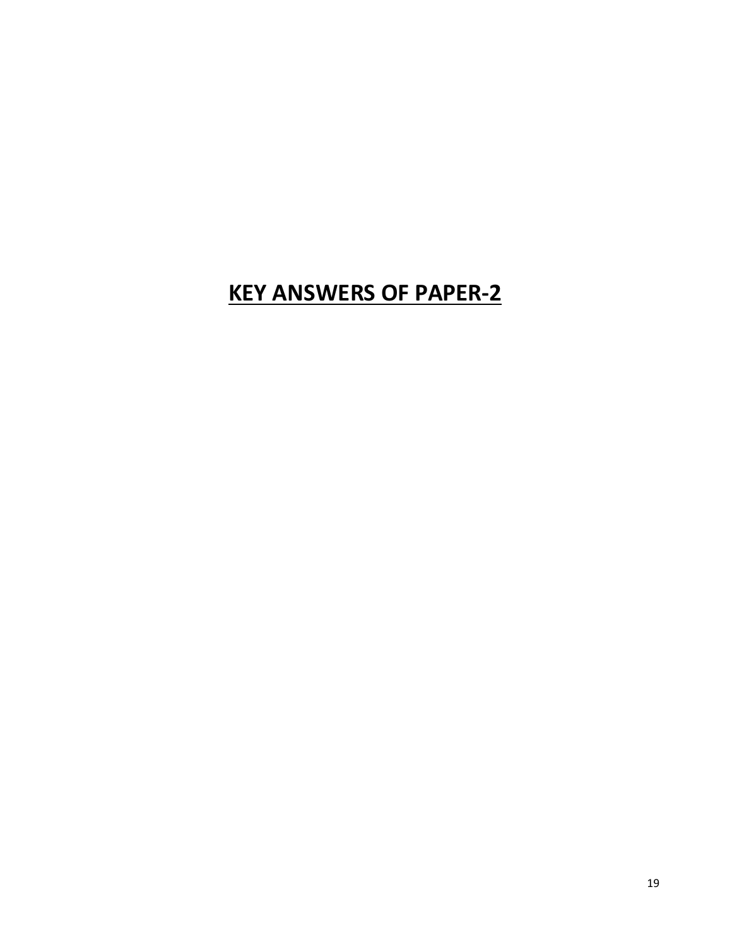## **KEY ANSWERS OF PAPER-2**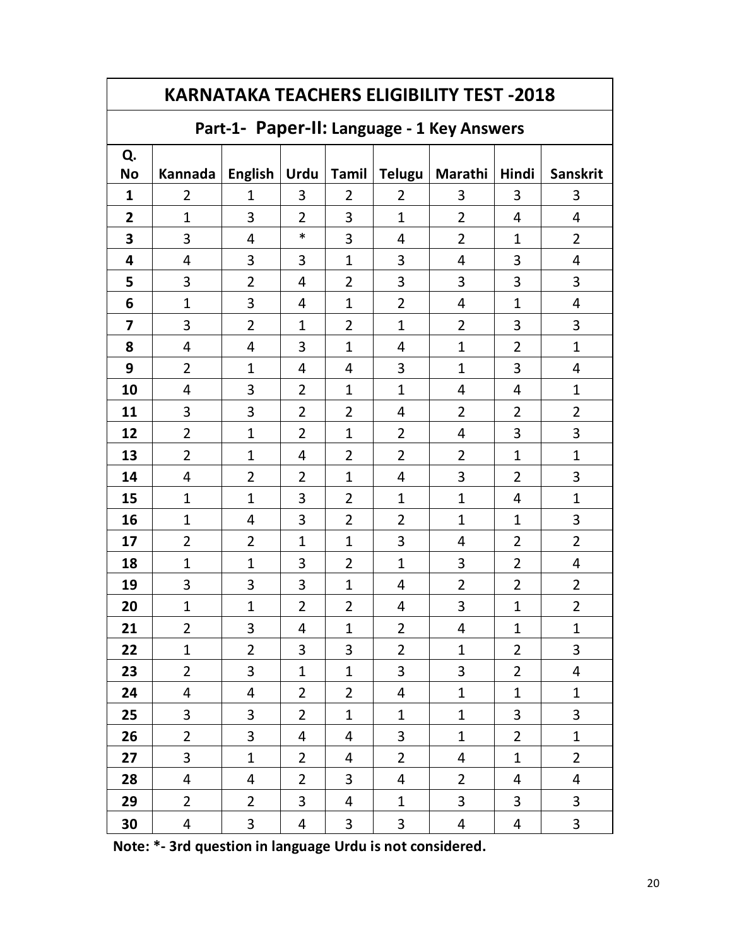| <b>KARNATAKA TEACHERS ELIGIBILITY TEST -2018</b> |                                            |                |                |                |                |                  |                |                         |  |
|--------------------------------------------------|--------------------------------------------|----------------|----------------|----------------|----------------|------------------|----------------|-------------------------|--|
|                                                  | Part-1- Paper-II: Language - 1 Key Answers |                |                |                |                |                  |                |                         |  |
| Q.                                               |                                            |                |                |                |                |                  |                |                         |  |
| <b>No</b>                                        | Kannada                                    | English $ $    | <b>Urdu</b>    | <b>Tamil</b>   |                | Telugu   Marathi | Hindi          | <b>Sanskrit</b>         |  |
| $\mathbf{1}$                                     | 2                                          | 1              | 3              | $\overline{2}$ | 2              | 3                | 3              | 3                       |  |
| $\overline{2}$                                   | 1                                          | 3              | $\overline{2}$ | 3              | $\mathbf{1}$   | $\overline{2}$   | 4              | 4                       |  |
| 3                                                | 3                                          | 4              | $\ast$         | 3              | 4              | $\overline{2}$   | $\mathbf{1}$   | $\overline{2}$          |  |
| 4                                                | 4                                          | 3              | 3              | $\mathbf{1}$   | 3              | 4                | 3              | 4                       |  |
| 5                                                | 3                                          | $\overline{2}$ | 4              | 2              | 3              | 3                | 3              | 3                       |  |
| 6                                                | $\mathbf{1}$                               | 3              | 4              | $\mathbf{1}$   | $\overline{2}$ | 4                | $\mathbf{1}$   | 4                       |  |
| $\overline{\mathbf{z}}$                          | 3                                          | $\overline{2}$ | $\mathbf{1}$   | $\overline{2}$ | $\mathbf{1}$   | $\overline{2}$   | 3              | 3                       |  |
| 8                                                | 4                                          | 4              | 3              | $\mathbf{1}$   | 4              | $\mathbf 1$      | $\overline{2}$ | $\mathbf{1}$            |  |
| 9                                                | $\overline{2}$                             | $\mathbf{1}$   | 4              | 4              | 3              | $\mathbf{1}$     | 3              | 4                       |  |
| 10                                               | 4                                          | 3              | $\overline{2}$ | $\mathbf{1}$   | $\mathbf{1}$   | 4                | 4              | 1                       |  |
| 11                                               | 3                                          | 3              | $\overline{2}$ | $\overline{2}$ | 4              | $\overline{2}$   | $\overline{2}$ | $\overline{2}$          |  |
| 12                                               | $\overline{2}$                             | $\mathbf{1}$   | $\overline{2}$ | $\mathbf{1}$   | $\overline{2}$ | 4                | 3              | 3                       |  |
| 13                                               | $\overline{2}$                             | $\mathbf{1}$   | 4              | $\overline{2}$ | $\overline{2}$ | $\overline{2}$   | $\mathbf{1}$   | $\mathbf{1}$            |  |
| 14                                               | 4                                          | $\overline{2}$ | $\overline{2}$ | $\mathbf{1}$   | 4              | 3                | $\overline{2}$ | 3                       |  |
| 15                                               | $\mathbf{1}$                               | $\mathbf{1}$   | 3              | $\overline{2}$ | $\mathbf{1}$   | $\overline{1}$   | 4              | $\overline{1}$          |  |
| 16                                               | $\mathbf{1}$                               | 4              | 3              | $\overline{2}$ | $\overline{2}$ | $\overline{1}$   | 1              | 3                       |  |
| 17                                               | $\overline{2}$                             | $\overline{2}$ | $\mathbf{1}$   | $\mathbf{1}$   | 3              | 4                | $\overline{2}$ | $\overline{2}$          |  |
| 18                                               | $\mathbf 1$                                | $\mathbf{1}$   | 3              | $\overline{2}$ | $\mathbf{1}$   | 3                | $\overline{2}$ | 4                       |  |
| 19                                               | 3                                          | 3              | 3              | $\mathbf{1}$   | 4              | 2                | 2              | $\overline{2}$          |  |
| 20                                               | $\mathbf 1$                                | $\mathbf{1}$   | 2              | $\overline{2}$ | 4              | 3                | 1              | 2                       |  |
| 21                                               | $\overline{2}$                             | 3              | 4              | $\mathbf{1}$   | $\overline{2}$ | 4                | 1              | 1                       |  |
| 22                                               | $\mathbf{1}$                               | $\overline{2}$ | 3              | 3              | $\overline{2}$ | $\mathbf 1$      | $\overline{2}$ | 3                       |  |
| 23                                               | $\overline{2}$                             | 3              | $\mathbf{1}$   | $\mathbf{1}$   | 3              | 3                | $\overline{2}$ | $\overline{\mathbf{r}}$ |  |
| 24                                               | 4                                          | 4              | $\overline{2}$ | $\overline{2}$ | 4              | $\mathbf 1$      | $\mathbf{1}$   | 1                       |  |
| 25                                               | 3                                          | 3              | $\overline{2}$ | $\mathbf{1}$   | $\mathbf{1}$   | $\mathbf 1$      | 3              | 3                       |  |
| 26                                               | $\overline{2}$                             | 3              | 4              | 4              | 3              | $\mathbf 1$      | $\overline{2}$ | $\mathbf 1$             |  |
| 27                                               | 3                                          | $\mathbf{1}$   | $\overline{2}$ | 4              | $\overline{2}$ | 4                | $\mathbf{1}$   | $\overline{2}$          |  |
| 28                                               | 4                                          | 4              | $\overline{2}$ | 3              | 4              | 2                | 4              | 4                       |  |
| 29                                               | $\overline{2}$                             | $\overline{2}$ | 3              | 4              | $\mathbf{1}$   | 3                | 3              | 3                       |  |
| 30                                               | 4                                          | 3              | 4              | 3              | $\mathbf{3}$   | 4                | 4              | 3                       |  |

**Note: \*- 3rd question in language Urdu is not considered.**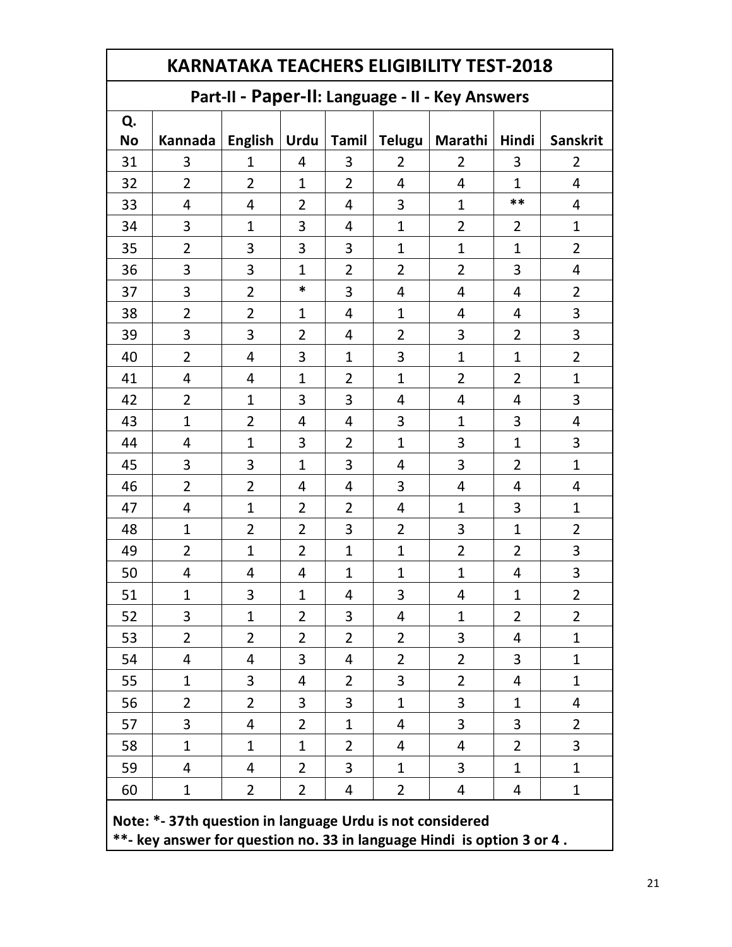#### **Part-II - Paper-II: Language - II - Key Answers**

| rait-il - rapei-il. Laliguage - il - Key Alisweis |                                                           |                         |                         |                         |                         |                         |                |                                                                        |
|---------------------------------------------------|-----------------------------------------------------------|-------------------------|-------------------------|-------------------------|-------------------------|-------------------------|----------------|------------------------------------------------------------------------|
| Q.                                                |                                                           |                         |                         |                         |                         |                         |                |                                                                        |
| <b>No</b>                                         |                                                           |                         |                         |                         |                         |                         |                | Kannada   English   Urdu   Tamil   Telugu   Marathi   Hindi   Sanskrit |
| 31                                                | $\overline{3}$                                            | $\mathbf{1}$            | $\overline{4}$          | $\overline{3}$          | $\overline{2}$          | $\overline{2}$          | $\overline{3}$ | $\overline{2}$                                                         |
| 32                                                | $\overline{2}$                                            | $\overline{2}$          | $\mathbf{1}$            | $\overline{2}$          | $\overline{4}$          | $\overline{4}$          | $\mathbf{1}$   | $\overline{4}$                                                         |
| 33                                                | $\overline{4}$                                            | $\overline{4}$          | $\overline{2}$          | $\overline{4}$          | $\overline{3}$          | $\mathbf{1}$            | $***$          | $\overline{4}$                                                         |
| 34                                                | 3                                                         | $\mathbf{1}$            | $\overline{3}$          | $\overline{4}$          | $\mathbf{1}$            | $\overline{2}$          | $\overline{2}$ | $\mathbf{1}$                                                           |
| 35                                                | $\overline{2}$                                            | 3                       | 3                       | 3                       | $\mathbf{1}$            | $\mathbf{1}$            | $\mathbf{1}$   | $\overline{2}$                                                         |
| 36                                                | 3                                                         | 3                       | $\mathbf{1}$            | $\overline{2}$          | $\overline{2}$          | $\overline{2}$          | 3              | $\overline{4}$                                                         |
| 37                                                | 3                                                         | $\overline{2}$          | $\ast$                  | $\overline{3}$          | $\overline{4}$          | $\overline{4}$          | $\overline{4}$ | $\overline{2}$                                                         |
| 38                                                | $\overline{2}$                                            | $\overline{2}$          | $\mathbf{1}$            | $\overline{\mathbf{4}}$ | $\mathbf{1}$            | $\overline{4}$          | $\overline{4}$ | 3                                                                      |
| 39                                                | 3                                                         | 3                       | $\overline{2}$          | 4                       | $\overline{2}$          | 3                       | $\overline{2}$ | $\overline{\mathbf{3}}$                                                |
| 40                                                | $\overline{2}$                                            | 4                       | 3                       | $\mathbf{1}$            | 3                       | $\mathbf{1}$            | $\mathbf{1}$   | $\overline{2}$                                                         |
| 41                                                | 4                                                         | 4                       | $\mathbf{1}$            | $\overline{2}$          | $\mathbf{1}$            | $\overline{2}$          | $\overline{2}$ | $\mathbf{1}$                                                           |
| 42                                                | $\overline{2}$                                            | $\mathbf{1}$            | 3                       | 3                       | 4                       | $\overline{\mathbf{r}}$ | $\overline{4}$ | $\overline{\mathbf{3}}$                                                |
| 43                                                | $\mathbf{1}$                                              | $\overline{2}$          | $\overline{\mathbf{4}}$ | 4                       | $\overline{3}$          | $\mathbf 1$             | 3              | $\overline{4}$                                                         |
| 44                                                | 4                                                         | $\mathbf{1}$            | 3                       | $\overline{2}$          | $\mathbf{1}$            | 3                       | $\mathbf{1}$   | 3                                                                      |
| 45                                                | 3                                                         | 3                       | $\mathbf{1}$            | 3                       | $\overline{\mathbf{4}}$ | 3                       | $\overline{2}$ | $\mathbf{1}$                                                           |
| 46                                                | $\overline{2}$                                            | $\overline{2}$          | 4                       | $\overline{\mathbf{4}}$ | 3                       | 4                       | $\overline{4}$ | $\overline{4}$                                                         |
| 47                                                | 4                                                         | $\mathbf{1}$            | $\overline{2}$          | $\overline{2}$          | 4                       | $\mathbf 1$             | 3              | $\mathbf{1}$                                                           |
| 48                                                | $\mathbf{1}$                                              | $\overline{2}$          | $\overline{2}$          | 3                       | $\overline{2}$          | 3                       | $\mathbf{1}$   | $\overline{2}$                                                         |
| 49                                                | $\overline{2}$                                            | $\mathbf{1}$            | $\overline{2}$          | $\mathbf{1}$            | $\mathbf{1}$            | $\overline{2}$          | $\overline{2}$ | 3                                                                      |
| 50                                                | 4                                                         | $\overline{\mathbf{r}}$ | 4                       | $\mathbf{1}$            | $\mathbf{1}$            | $\mathbf{1}$            | $\overline{4}$ | 3                                                                      |
| 51                                                | $\mathbf{1}$                                              | 3                       | $\mathbf{1}$            | $\overline{4}$          | 3                       | 4                       | $\mathbf{1}$   | $\overline{2}$                                                         |
| 52                                                | 3                                                         | $\mathbf{1}$            | $\overline{2}$          | 3                       | 4                       | 1                       | $\overline{2}$ | $\overline{2}$                                                         |
| 53                                                | $\overline{2}$                                            | $\overline{2}$          | $\overline{2}$          | $\overline{2}$          | $\overline{2}$          | 3                       | $\overline{4}$ | $\mathbf 1$                                                            |
| 54                                                | 4                                                         | 4                       | 3                       | 4                       | 2                       | $\overline{2}$          | 3              | $\mathbf 1$                                                            |
| 55                                                | 1                                                         | 3                       | 4                       | $\overline{2}$          | 3                       | 2                       | 4              | 1                                                                      |
| 56                                                | $\overline{2}$                                            | $\overline{2}$          | 3                       | 3                       | $\mathbf{1}$            | 3                       | 1              | 4                                                                      |
| 57                                                | 3                                                         | 4                       | 2                       | $\mathbf{1}$            | 4                       | 3                       | 3              | $\overline{2}$                                                         |
| 58                                                | $\mathbf{1}$                                              | 1                       | 1                       | $\overline{2}$          | 4                       | 4                       | $\overline{2}$ | 3                                                                      |
| 59                                                | 4                                                         | 4                       | 2                       | 3                       | $\mathbf{1}$            | 3                       | $\mathbf{1}$   | $\mathbf{1}$                                                           |
| 60                                                | $\mathbf 1$                                               | 2                       | $\overline{2}$          | 4                       | $\overline{2}$          | 4                       | 4              | $\mathbf{1}$                                                           |
|                                                   | Note: *- 37th question in language Urdu is not considered |                         |                         |                         |                         |                         |                |                                                                        |

**\*\*- key answer for question no. 33 in language Hindi is option 3 or 4 .**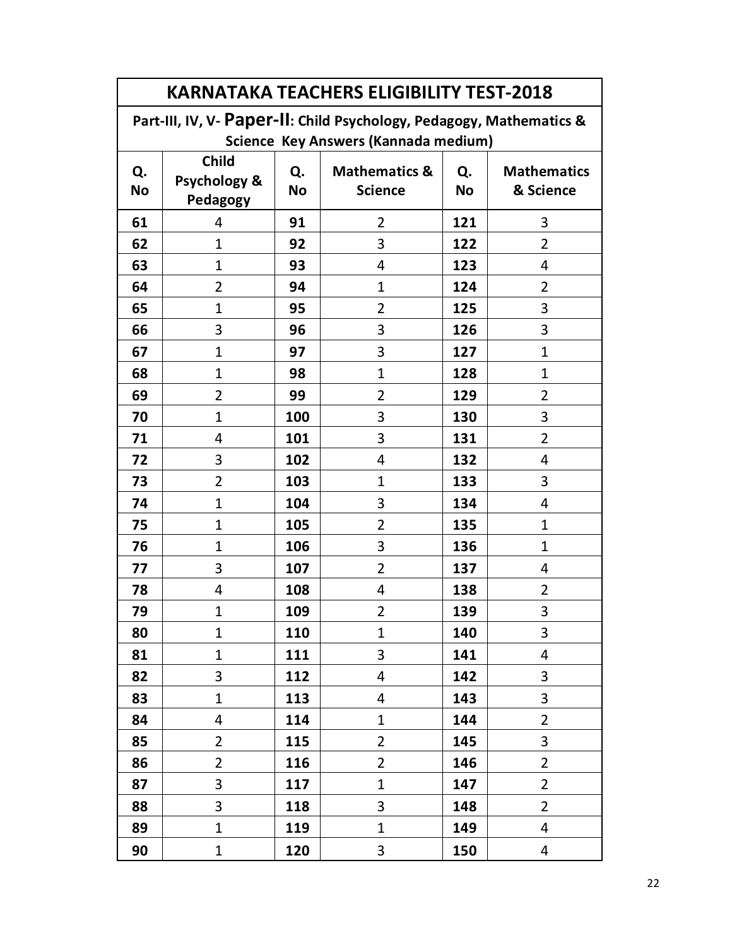| <b>KARNATAKA TEACHERS ELIGIBILITY TEST-2018</b> |                                          |                 |                                                                      |                 |                                 |  |  |  |
|-------------------------------------------------|------------------------------------------|-----------------|----------------------------------------------------------------------|-----------------|---------------------------------|--|--|--|
|                                                 |                                          |                 | Part-III, IV, V- Paper-II: Child Psychology, Pedagogy, Mathematics & |                 |                                 |  |  |  |
| Science Key Answers (Kannada medium)            |                                          |                 |                                                                      |                 |                                 |  |  |  |
| Q.<br><b>No</b>                                 | <b>Child</b><br>Psychology &<br>Pedagogy | Q.<br><b>No</b> | <b>Mathematics &amp;</b><br><b>Science</b>                           | Q.<br><b>No</b> | <b>Mathematics</b><br>& Science |  |  |  |
| 61                                              | 4                                        | 91              | $\overline{2}$                                                       | 121             | 3                               |  |  |  |
| 62                                              | $\mathbf{1}$                             | 92              | 3                                                                    | 122             | $\overline{2}$                  |  |  |  |
| 63                                              | $\mathbf{1}$                             | 93              | $\overline{4}$                                                       | 123             | 4                               |  |  |  |
| 64                                              | $\overline{2}$                           | 94              | $\mathbf{1}$                                                         | 124             | $\overline{2}$                  |  |  |  |
| 65                                              | $\mathbf{1}$                             | 95              | $\overline{2}$                                                       | 125             | 3                               |  |  |  |
| 66                                              | 3                                        | 96              | 3                                                                    | 126             | 3                               |  |  |  |
| 67                                              | $\mathbf{1}$                             | 97              | 3                                                                    | 127             | $\mathbf{1}$                    |  |  |  |
| 68                                              | $\mathbf 1$                              | 98              | $\mathbf{1}$                                                         | 128             | $\mathbf 1$                     |  |  |  |
| 69                                              | $\overline{2}$                           | 99              | $\overline{2}$                                                       | 129             | 2                               |  |  |  |
| 70                                              | $\mathbf{1}$                             | 100             | 3                                                                    | 130             | 3                               |  |  |  |
| 71                                              | 4                                        | 101             | 3                                                                    | 131             | $\overline{2}$                  |  |  |  |
| 72                                              | 3                                        | 102             | 4                                                                    | 132             | 4                               |  |  |  |
| 73                                              | $\overline{2}$                           | 103             | $\mathbf{1}$                                                         | 133             | 3                               |  |  |  |
| 74                                              | $\mathbf{1}$                             | 104             | 3                                                                    | 134             | 4                               |  |  |  |
| 75                                              | $\mathbf{1}$                             | 105             | $\overline{2}$                                                       | 135             | $\mathbf{1}$                    |  |  |  |
| 76                                              | $\mathbf{1}$                             | 106             | 3                                                                    | 136             | $\mathbf{1}$                    |  |  |  |
| 77                                              | 3                                        | 107             | $\overline{2}$                                                       | 137             | 4                               |  |  |  |
| 78                                              | 4                                        | 108             | 4                                                                    | 138             | $\overline{2}$                  |  |  |  |
| 79                                              | $\mathbf{1}$                             | 109             | $\overline{2}$                                                       | 139             | 3                               |  |  |  |
| 80                                              | $\mathbf{1}$                             | 110             | $\mathbf{1}$                                                         | 140             | 3                               |  |  |  |
| 81                                              | $\mathbf{1}$                             | 111             | 3                                                                    | 141             | 4                               |  |  |  |
| 82                                              | 3                                        | 112             | 4                                                                    | 142             | 3                               |  |  |  |
| 83                                              | $\mathbf{1}$                             | 113             | 4                                                                    | 143             | 3                               |  |  |  |
| 84                                              | 4                                        | 114             | $\mathbf{1}$                                                         | 144             | $\overline{2}$                  |  |  |  |
| 85                                              | $\overline{2}$                           | 115             | $\overline{2}$                                                       | 145             | 3                               |  |  |  |
| 86                                              | $\overline{2}$                           | 116             | $\overline{2}$                                                       | 146             | $\overline{2}$                  |  |  |  |
| 87                                              | 3                                        | 117             | $\mathbf 1$                                                          | 147             | $\overline{2}$                  |  |  |  |
| 88                                              | 3                                        | 118             | 3                                                                    | 148             | $\overline{2}$                  |  |  |  |
| 89                                              | $\mathbf{1}$                             | 119             | $\mathbf{1}$                                                         | 149             | 4                               |  |  |  |
| 90                                              | $\mathbf{1}$                             | 120             | 3                                                                    | 150             | 4                               |  |  |  |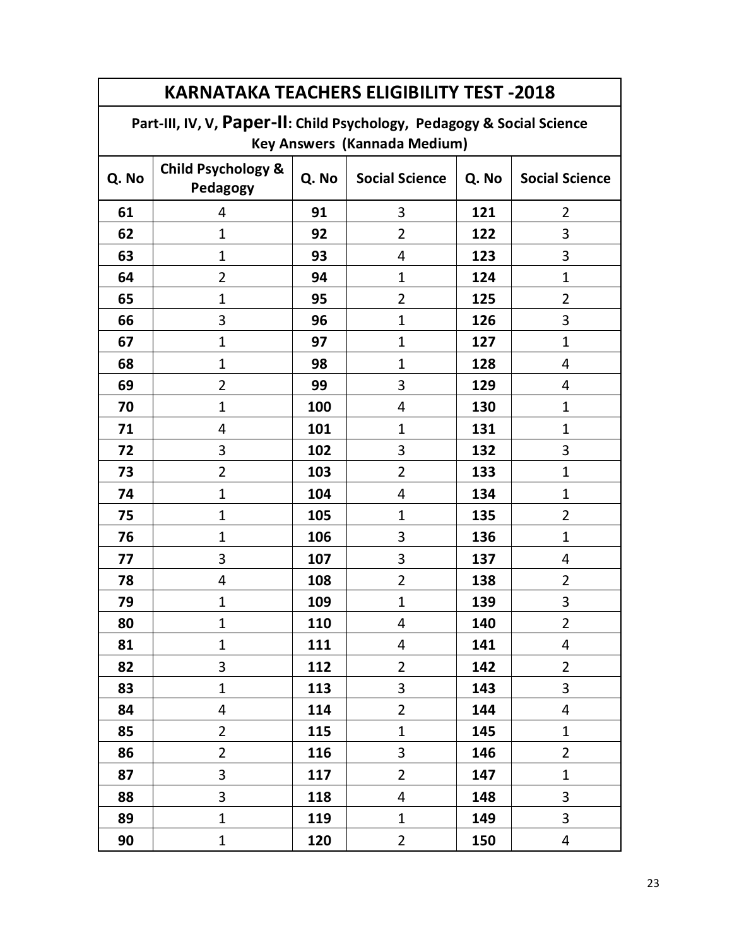| <b>KARNATAKA TEACHERS ELIGIBILITY TEST -2018</b> |                                                                        |       |                       |       |                       |  |  |  |
|--------------------------------------------------|------------------------------------------------------------------------|-------|-----------------------|-------|-----------------------|--|--|--|
|                                                  | Part-III, IV, V, Paper-II: Child Psychology, Pedagogy & Social Science |       |                       |       |                       |  |  |  |
| <b>Key Answers (Kannada Medium)</b>              |                                                                        |       |                       |       |                       |  |  |  |
| Q. No                                            | <b>Child Psychology &amp;</b><br>Pedagogy                              | Q. No | <b>Social Science</b> | Q. No | <b>Social Science</b> |  |  |  |
| 61                                               | 4                                                                      | 91    | 3                     | 121   | $\overline{2}$        |  |  |  |
| 62                                               | 1                                                                      | 92    | $\overline{2}$        | 122   | 3                     |  |  |  |
| 63                                               | $\mathbf{1}$                                                           | 93    | 4                     | 123   | 3                     |  |  |  |
| 64                                               | $\overline{2}$                                                         | 94    | $\mathbf{1}$          | 124   | $\mathbf{1}$          |  |  |  |
| 65                                               | $\mathbf{1}$                                                           | 95    | $\overline{2}$        | 125   | $\overline{2}$        |  |  |  |
| 66                                               | 3                                                                      | 96    | $\mathbf{1}$          | 126   | 3                     |  |  |  |
| 67                                               | 1                                                                      | 97    | 1                     | 127   | $\mathbf{1}$          |  |  |  |
| 68                                               | $\mathbf 1$                                                            | 98    | 1                     | 128   | 4                     |  |  |  |
| 69                                               | $\overline{2}$                                                         | 99    | 3                     | 129   | 4                     |  |  |  |
| 70                                               | $\mathbf 1$                                                            | 100   | 4                     | 130   | 1                     |  |  |  |
| 71                                               | 4                                                                      | 101   | $\mathbf{1}$          | 131   | $\mathbf{1}$          |  |  |  |
| 72                                               | 3                                                                      | 102   | 3                     | 132   | 3                     |  |  |  |
| 73                                               | $\overline{2}$                                                         | 103   | $\overline{2}$        | 133   | $\mathbf{1}$          |  |  |  |
| 74                                               | $\mathbf{1}$                                                           | 104   | 4                     | 134   | $\mathbf{1}$          |  |  |  |
| 75                                               | $\mathbf{1}$                                                           | 105   | $\mathbf{1}$          | 135   | $\overline{2}$        |  |  |  |
| 76                                               | $\mathbf{1}$                                                           | 106   | 3                     | 136   | $\mathbf{1}$          |  |  |  |
| 77                                               | 3                                                                      | 107   | 3                     | 137   | 4                     |  |  |  |
| 78                                               | 4                                                                      | 108   | $\overline{2}$        | 138   | $\overline{2}$        |  |  |  |
| 79                                               | 1                                                                      | 109   | $\mathbf{1}$          | 139   | 3                     |  |  |  |
| 80                                               | $\mathbf{1}$                                                           | 110   | 4                     | 140   | $\overline{2}$        |  |  |  |
| 81                                               | $\mathbf{1}$                                                           | 111   | 4                     | 141   | 4                     |  |  |  |
| 82                                               | 3                                                                      | 112   | $\overline{2}$        | 142   | $\overline{2}$        |  |  |  |
| 83                                               | $\mathbf{1}$                                                           | 113   | 3                     | 143   | 3                     |  |  |  |
| 84                                               | $\overline{4}$                                                         | 114   | $\overline{2}$        | 144   | 4                     |  |  |  |
| 85                                               | $\overline{2}$                                                         | 115   | $\mathbf{1}$          | 145   | $\mathbf{1}$          |  |  |  |
| 86                                               | $\overline{2}$                                                         | 116   | 3                     | 146   | $\overline{2}$        |  |  |  |
| 87                                               | 3                                                                      | 117   | $\overline{2}$        | 147   | $\mathbf{1}$          |  |  |  |
| 88                                               | 3                                                                      | 118   | 4                     | 148   | 3                     |  |  |  |
| 89                                               | $\mathbf{1}$                                                           | 119   | $\mathbf{1}$          | 149   | 3                     |  |  |  |
| 90                                               | $\mathbf{1}$                                                           | 120   | $\overline{2}$        | 150   | 4                     |  |  |  |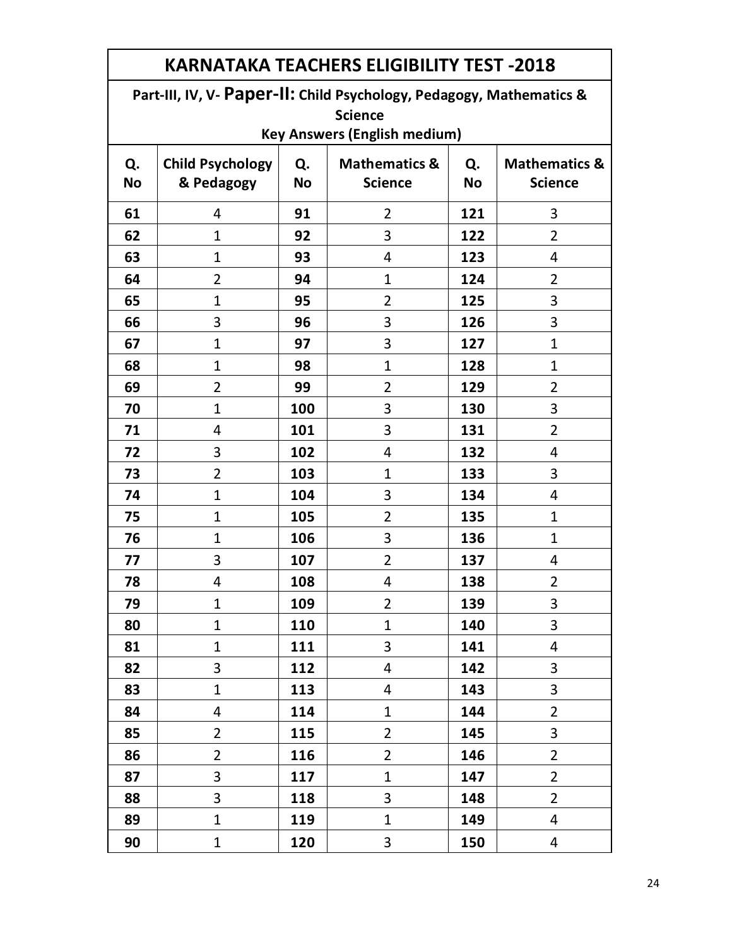**Part-III, IV, V- Paper-II: Child Psychology, Pedagogy, Mathematics & Science**

| Q.<br><b>No</b> | <b>Child Psychology</b><br>& Pedagogy | Q.<br><b>No</b> | <b>Mathematics &amp;</b><br><b>Science</b> | Q.<br><b>No</b> | <b>Mathematics &amp;</b><br><b>Science</b> |
|-----------------|---------------------------------------|-----------------|--------------------------------------------|-----------------|--------------------------------------------|
| 61              | 4                                     | 91              | $\overline{2}$                             | 121             | 3                                          |
| 62              | $\mathbf{1}$                          | 92              | 3                                          | 122             | $\overline{2}$                             |
| 63              | $\mathbf{1}$                          | 93              | 4                                          | 123             | 4                                          |
| 64              | $\overline{2}$                        | 94              | $\mathbf{1}$                               | 124             | $\overline{2}$                             |
| 65              | $\mathbf{1}$                          | 95              | $\overline{2}$                             | 125             | 3                                          |
| 66              | 3                                     | 96              | 3                                          | 126             | 3                                          |
| 67              | $\mathbf{1}$                          | 97              | 3                                          | 127             | $\mathbf{1}$                               |
| 68              | $\mathbf{1}$                          | 98              | $\mathbf{1}$                               | 128             | $\mathbf{1}$                               |
| 69              | $\overline{2}$                        | 99              | $\overline{2}$                             | 129             | $\overline{2}$                             |
| 70              | $\mathbf{1}$                          | 100             | 3                                          | 130             | 3                                          |
| 71              | 4                                     | 101             | 3                                          | 131             | $\overline{2}$                             |
| 72              | 3                                     | 102             | 4                                          | 132             | 4                                          |
| 73              | $\overline{2}$                        | 103             | $\mathbf{1}$                               | 133             | 3                                          |
| 74              | $\mathbf{1}$                          | 104             | 3                                          | 134             | 4                                          |
| 75              | $\mathbf{1}$                          | 105             | $\overline{2}$                             | 135             | $\mathbf{1}$                               |
| 76              | $\mathbf{1}$                          | 106             | 3                                          | 136             | $\mathbf{1}$                               |
| 77              | 3                                     | 107             | $\overline{2}$                             | 137             | 4                                          |
| 78              | 4                                     | 108             | 4                                          | 138             | $\overline{2}$                             |
| 79              | $\mathbf{1}$                          | 109             | $\overline{2}$                             | 139             | 3                                          |
| 80              | $\mathbf{1}$                          | 110             | $\overline{1}$                             | 140             | 3                                          |
| 81              | $\mathbf{1}$                          | 111             | 3                                          | 141             | 4                                          |
| 82              | 3                                     | 112             | $\overline{4}$                             | 142             | 3                                          |
| 83              | $\mathbf{1}$                          | 113             | 4                                          | 143             | 3                                          |
| 84              | 4                                     | 114             | $\mathbf{1}$                               | 144             | $\overline{2}$                             |
| 85              | $\overline{2}$                        | 115             | $\overline{2}$                             | 145             | 3                                          |
| 86              | $\overline{2}$                        | 116             | $\overline{2}$                             | 146             | $\overline{2}$                             |
| 87              | 3                                     | 117             | $\mathbf{1}$                               | 147             | $\overline{2}$                             |
| 88              | 3                                     | 118             | $\mathbf{3}$                               | 148             | $\overline{2}$                             |
| 89              | $\mathbf{1}$                          | 119             | $\mathbf{1}$                               | 149             | 4                                          |
| 90              | $\mathbf{1}$                          | 120             | $\mathbf{3}$                               | 150             | 4                                          |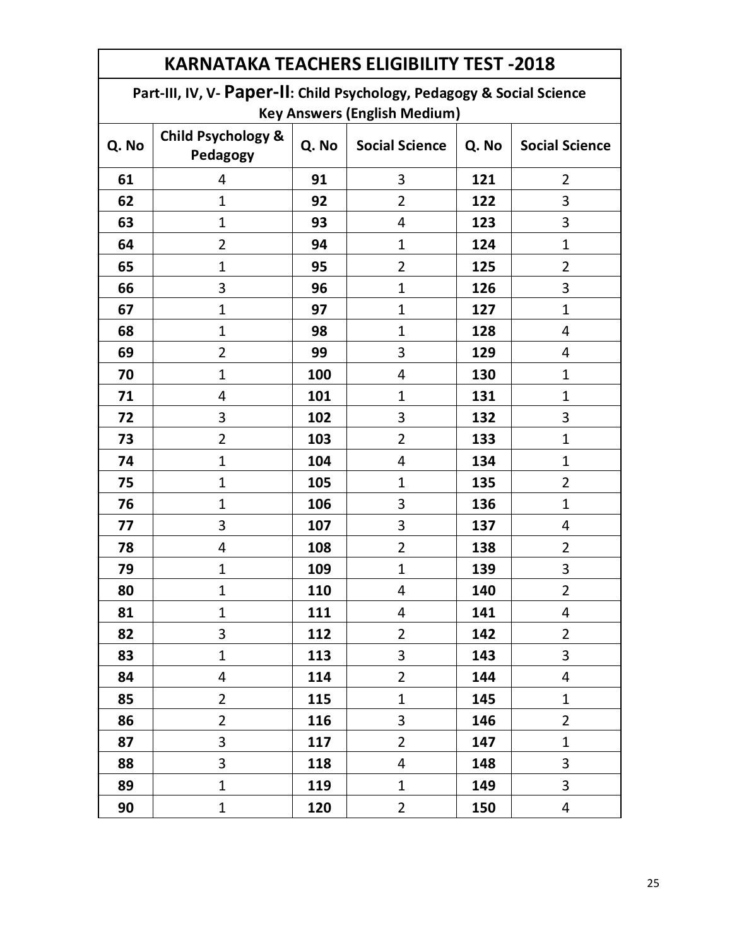| <b>KARNATAKA TEACHERS ELIGIBILITY TEST -2018</b> |                                                                        |       |                       |       |                       |  |  |  |
|--------------------------------------------------|------------------------------------------------------------------------|-------|-----------------------|-------|-----------------------|--|--|--|
|                                                  | Part-III, IV, V- Paper-II: Child Psychology, Pedagogy & Social Science |       |                       |       |                       |  |  |  |
| <b>Key Answers (English Medium)</b>              |                                                                        |       |                       |       |                       |  |  |  |
| Q. No                                            | <b>Child Psychology &amp;</b><br>Pedagogy                              | Q. No | <b>Social Science</b> | Q. No | <b>Social Science</b> |  |  |  |
| 61                                               | 4                                                                      | 91    | 3                     | 121   | $\overline{2}$        |  |  |  |
| 62                                               | $\mathbf{1}$                                                           | 92    | $\overline{2}$        | 122   | 3                     |  |  |  |
| 63                                               | $\mathbf{1}$                                                           | 93    | 4                     | 123   | 3                     |  |  |  |
| 64                                               | $\overline{2}$                                                         | 94    | $\mathbf{1}$          | 124   | $\mathbf{1}$          |  |  |  |
| 65                                               | $\mathbf{1}$                                                           | 95    | $\overline{2}$        | 125   | $\overline{2}$        |  |  |  |
| 66                                               | 3                                                                      | 96    | $\mathbf{1}$          | 126   | 3                     |  |  |  |
| 67                                               | $\mathbf{1}$                                                           | 97    | $\mathbf{1}$          | 127   | $\mathbf{1}$          |  |  |  |
| 68                                               | $\mathbf{1}$                                                           | 98    | $\mathbf{1}$          | 128   | 4                     |  |  |  |
| 69                                               | $\overline{2}$                                                         | 99    | 3                     | 129   | 4                     |  |  |  |
| 70                                               | 1                                                                      | 100   | 4                     | 130   | 1                     |  |  |  |
| 71                                               | 4                                                                      | 101   | $\mathbf{1}$          | 131   | $\mathbf{1}$          |  |  |  |
| 72                                               | 3                                                                      | 102   | 3                     | 132   | 3                     |  |  |  |
| 73                                               | $\overline{2}$                                                         | 103   | $\overline{2}$        | 133   | $\mathbf{1}$          |  |  |  |
| 74                                               | $\mathbf 1$                                                            | 104   | 4                     | 134   | $\mathbf{1}$          |  |  |  |
| 75                                               | $\mathbf{1}$                                                           | 105   | $\mathbf{1}$          | 135   | $\overline{2}$        |  |  |  |
| 76                                               | 1                                                                      | 106   | 3                     | 136   | $\mathbf{1}$          |  |  |  |
| 77                                               | 3                                                                      | 107   | 3                     | 137   | 4                     |  |  |  |
| 78                                               | 4                                                                      | 108   | $\overline{2}$        | 138   | $\overline{2}$        |  |  |  |
| 79                                               | $\mathbf 1$                                                            | 109   | $\mathbf{1}$          | 139   | 3                     |  |  |  |
| 80                                               | 1                                                                      | 110   | 4                     | 140   | 2                     |  |  |  |
| 81                                               | $\mathbf{1}$                                                           | 111   | 4                     | 141   | 4                     |  |  |  |
| 82                                               | 3                                                                      | 112   | $\overline{2}$        | 142   | $\overline{2}$        |  |  |  |
| 83                                               | $\mathbf{1}$                                                           | 113   | 3                     | 143   | 3                     |  |  |  |
| 84                                               | 4                                                                      | 114   | $\overline{2}$        | 144   | 4                     |  |  |  |
| 85                                               | $\overline{2}$                                                         | 115   | $\mathbf{1}$          | 145   | $\mathbf{1}$          |  |  |  |
| 86                                               | $\overline{2}$                                                         | 116   | 3                     | 146   | $\overline{2}$        |  |  |  |
| 87                                               | 3                                                                      | 117   | $\overline{2}$        | 147   | $\mathbf{1}$          |  |  |  |
| 88                                               | 3                                                                      | 118   | 4                     | 148   | 3                     |  |  |  |
| 89                                               | $\mathbf{1}$                                                           | 119   | $\mathbf{1}$          | 149   | 3                     |  |  |  |
| 90                                               | $\mathbf{1}$                                                           | 120   | $\overline{2}$        | 150   | 4                     |  |  |  |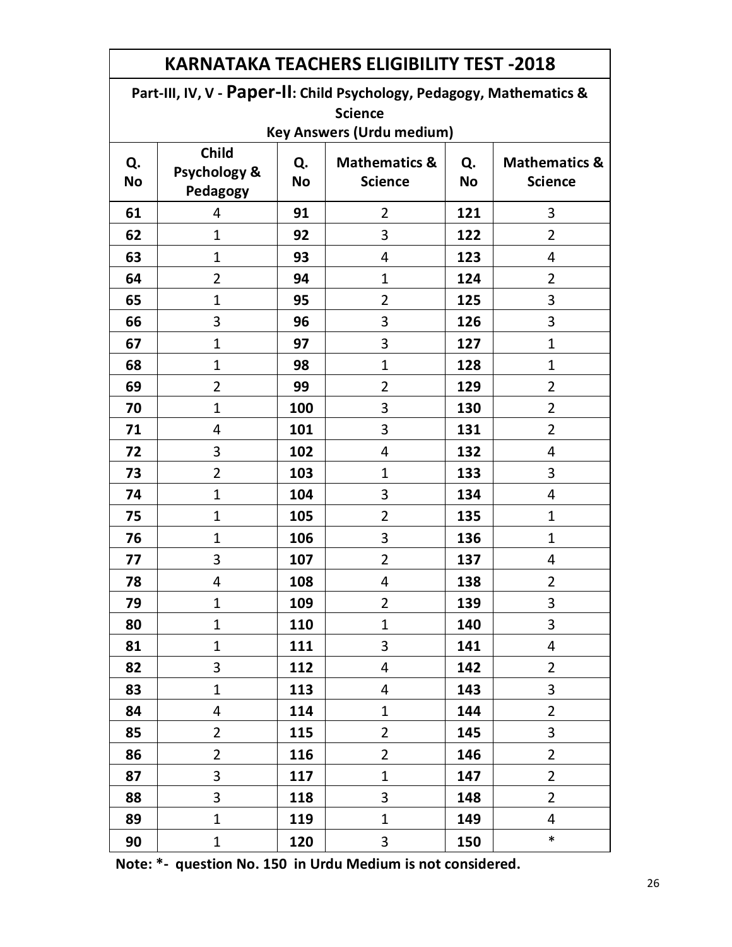| <b>KARNATAKA TEACHERS ELIGIBILITY TEST -2018</b>                      |                                          |                 |                                            |                 |                                            |  |  |
|-----------------------------------------------------------------------|------------------------------------------|-----------------|--------------------------------------------|-----------------|--------------------------------------------|--|--|
| Part-III, IV, V - Paper-II: Child Psychology, Pedagogy, Mathematics & |                                          |                 |                                            |                 |                                            |  |  |
| <b>Science</b>                                                        |                                          |                 |                                            |                 |                                            |  |  |
|                                                                       |                                          |                 | <b>Key Answers (Urdu medium)</b>           |                 |                                            |  |  |
| Q.<br><b>No</b>                                                       | <b>Child</b><br>Psychology &<br>Pedagogy | Q.<br><b>No</b> | <b>Mathematics &amp;</b><br><b>Science</b> | Q.<br><b>No</b> | <b>Mathematics &amp;</b><br><b>Science</b> |  |  |
| 61                                                                    | 4                                        | 91              | $\overline{2}$                             | 121             | 3                                          |  |  |
| 62                                                                    | $\mathbf{1}$                             | 92              | 3                                          | 122             | 2                                          |  |  |
| 63                                                                    | $\mathbf 1$                              | 93              | 4                                          | 123             | 4                                          |  |  |
| 64                                                                    | $\overline{2}$                           | 94              | 1                                          | 124             | 2                                          |  |  |
| 65                                                                    | $\mathbf 1$                              | 95              | $\overline{2}$                             | 125             | 3                                          |  |  |
| 66                                                                    | 3                                        | 96              | 3                                          | 126             | 3                                          |  |  |
| 67                                                                    | $\mathbf{1}$                             | 97              | 3                                          | 127             | $\mathbf{1}$                               |  |  |
| 68                                                                    | $\mathbf{1}$                             | 98              | $\mathbf{1}$                               | 128             | $\mathbf 1$                                |  |  |
| 69                                                                    | $\overline{2}$                           | 99              | 2                                          | 129             | $\overline{2}$                             |  |  |
| 70                                                                    | $\mathbf{1}$                             | 100             | 3                                          | 130             | $\overline{2}$                             |  |  |
| 71                                                                    | 4                                        | 101             | 3                                          | 131             | $\overline{2}$                             |  |  |
| 72                                                                    | 3                                        | 102             | 4                                          | 132             | 4                                          |  |  |
| 73                                                                    | $\overline{2}$                           | 103             | $\mathbf{1}$                               | 133             | 3                                          |  |  |
| 74                                                                    | $\mathbf{1}$                             | 104             | 3                                          | 134             | 4                                          |  |  |
| 75                                                                    | $\mathbf{1}$                             | 105             | $\overline{2}$                             | 135             | $\mathbf{1}$                               |  |  |
| 76                                                                    | $\mathbf{1}$                             | 106             | 3                                          | 136             | $\mathbf{1}$                               |  |  |
| 77                                                                    | 3                                        | 107             | 2                                          | 137             | 4                                          |  |  |
| 78                                                                    | 4                                        | 108             | 4                                          | 138             | $\overline{2}$                             |  |  |
| 79                                                                    | $\mathbf{1}$                             | 109             | $\overline{2}$                             | 139             | 3                                          |  |  |
| 80                                                                    | $\mathbf 1$                              | 110             | $\mathbf{1}$                               | 140             | 3                                          |  |  |
| 81                                                                    | $\mathbf{1}$                             | 111             | 3                                          | 141             | 4                                          |  |  |
| 82                                                                    | 3                                        | 112             | $\overline{4}$                             | 142             | $\overline{2}$                             |  |  |
| 83                                                                    | $\mathbf{1}$                             | 113             | $\overline{4}$                             | 143             | 3                                          |  |  |
| 84                                                                    | 4                                        | 114             | $\mathbf{1}$                               | 144             | $\overline{2}$                             |  |  |
| 85                                                                    | $\overline{2}$                           | 115             | $\overline{2}$                             | 145             | 3                                          |  |  |
| 86                                                                    | $\overline{2}$                           | 116             | $\overline{2}$                             | 146             | $\overline{2}$                             |  |  |
| 87                                                                    | 3                                        | 117             | $\mathbf{1}$                               | 147             | $\overline{2}$                             |  |  |
| 88                                                                    | 3                                        | 118             | 3                                          | 148             | $\overline{2}$                             |  |  |
| 89                                                                    | $\mathbf{1}$                             | 119             | $\mathbf{1}$                               | 149             | 4                                          |  |  |
| 90                                                                    | $\mathbf{1}$                             | 120             | $\mathbf{3}$                               | 150             | $\ast$                                     |  |  |

**Note: \*- question No. 150 in Urdu Medium is not considered.**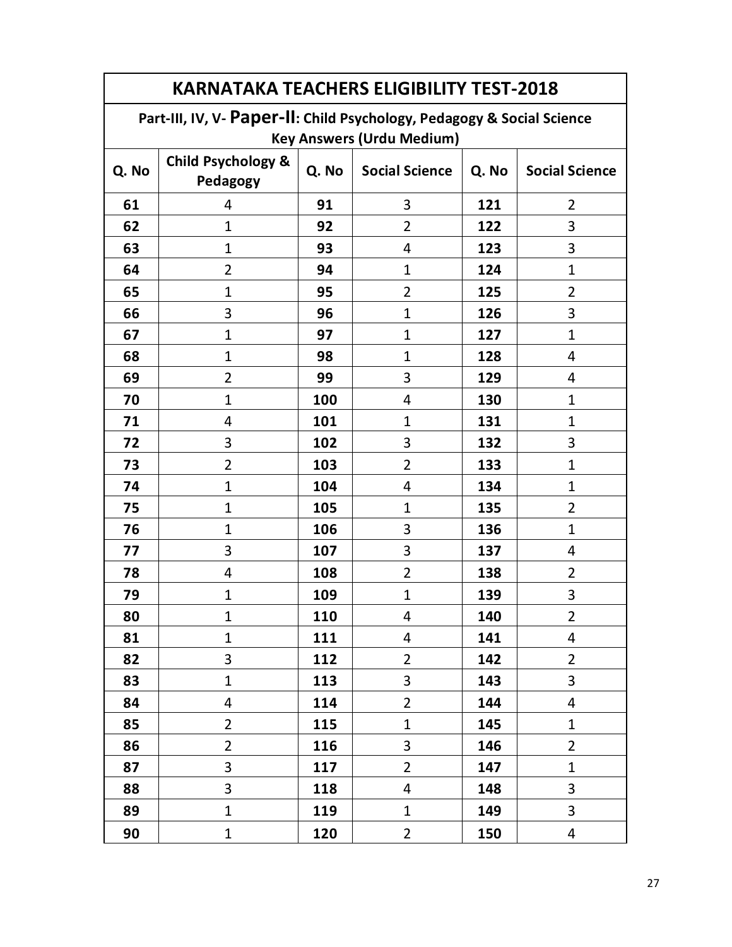| <b>KARNATAKA TEACHERS ELIGIBILITY TEST-2018</b> |                                                                        |            |                       |       |                       |  |  |  |
|-------------------------------------------------|------------------------------------------------------------------------|------------|-----------------------|-------|-----------------------|--|--|--|
|                                                 | Part-III, IV, V- Paper-II: Child Psychology, Pedagogy & Social Science |            |                       |       |                       |  |  |  |
| <b>Key Answers (Urdu Medium)</b>                |                                                                        |            |                       |       |                       |  |  |  |
| Q. No                                           | <b>Child Psychology &amp;</b><br>Pedagogy                              | Q. No      | <b>Social Science</b> | Q. No | <b>Social Science</b> |  |  |  |
| 61                                              | 4                                                                      | 91         | 3                     | 121   | $\overline{2}$        |  |  |  |
| 62                                              | $\mathbf{1}$                                                           | 92         | $\overline{2}$        | 122   | 3                     |  |  |  |
| 63                                              | $\mathbf{1}$                                                           | 93         | 4                     | 123   | 3                     |  |  |  |
| 64                                              | $\overline{2}$                                                         | 94         | $\mathbf{1}$          | 124   | $\mathbf{1}$          |  |  |  |
| 65                                              | $\mathbf{1}$                                                           | 95         | $\overline{2}$        | 125   | 2                     |  |  |  |
| 66                                              | 3                                                                      | 96         | $\mathbf{1}$          | 126   | 3                     |  |  |  |
| 67                                              | $\mathbf{1}$                                                           | 97         | $\mathbf{1}$          | 127   | $\mathbf 1$           |  |  |  |
| 68                                              | 1                                                                      | 98         | $\mathbf{1}$          | 128   | 4                     |  |  |  |
| 69                                              | $\overline{2}$                                                         | 99         | 3                     | 129   | 4                     |  |  |  |
| 70                                              | $\mathbf{1}$                                                           | 100        | 4                     | 130   | $\mathbf{1}$          |  |  |  |
| 71                                              | $\overline{4}$                                                         | 101        | $\mathbf{1}$          | 131   | $\mathbf{1}$          |  |  |  |
| 72                                              | 3                                                                      | 102        | 3                     | 132   | 3                     |  |  |  |
| 73                                              | $\overline{2}$                                                         | 103        | $\overline{2}$        | 133   | $\mathbf 1$           |  |  |  |
| 74                                              | $\mathbf{1}$                                                           | 104        | 4                     | 134   | $\mathbf 1$           |  |  |  |
| 75                                              | $\mathbf{1}$                                                           | 105        | $\mathbf{1}$          | 135   | $\overline{2}$        |  |  |  |
| 76                                              | $\mathbf{1}$                                                           | 106        | 3                     | 136   | $\mathbf{1}$          |  |  |  |
| 77                                              | 3                                                                      | 107        | 3                     | 137   | 4                     |  |  |  |
| 78                                              | 4                                                                      | 108        | $\overline{2}$        | 138   | $\overline{2}$        |  |  |  |
| 79                                              | $\mathbf{1}$                                                           | 109        | $\mathbf{1}$          | 139   | 3                     |  |  |  |
| 80                                              | 1                                                                      | <b>110</b> | 4                     | 140   | 2                     |  |  |  |
| 81                                              | $\mathbf{1}$                                                           | 111        | 4                     | 141   | 4                     |  |  |  |
| 82                                              | 3                                                                      | 112        | $\overline{2}$        | 142   | $\overline{2}$        |  |  |  |
| 83                                              | $\mathbf{1}$                                                           | 113        | 3                     | 143   | 3                     |  |  |  |
| 84                                              | 4                                                                      | 114        | $\overline{2}$        | 144   | 4                     |  |  |  |
| 85                                              | $\overline{2}$                                                         | 115        | $\mathbf{1}$          | 145   | $\mathbf 1$           |  |  |  |
| 86                                              | $\overline{2}$                                                         | 116        | 3                     | 146   | $\overline{2}$        |  |  |  |
| 87                                              | 3                                                                      | 117        | $\overline{2}$        | 147   | $\mathbf{1}$          |  |  |  |
| 88                                              | 3                                                                      | 118        | 4                     | 148   | 3                     |  |  |  |
| 89                                              | $\mathbf{1}$                                                           | 119        | $\mathbf 1$           | 149   | 3                     |  |  |  |
| 90                                              | $\mathbf{1}$                                                           | 120        | $\overline{2}$        | 150   | 4                     |  |  |  |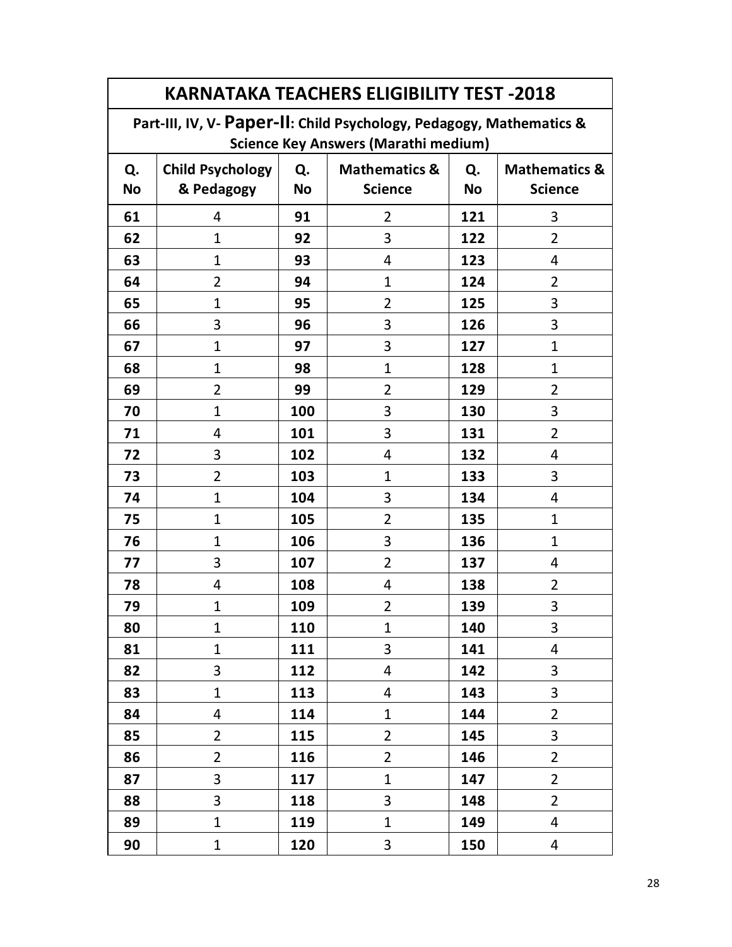| <b>KARNATAKA TEACHERS ELIGIBILITY TEST -2018</b>                     |                         |           |                          |           |                          |  |  |  |
|----------------------------------------------------------------------|-------------------------|-----------|--------------------------|-----------|--------------------------|--|--|--|
| Part-III, IV, V- Paper-II: Child Psychology, Pedagogy, Mathematics & |                         |           |                          |           |                          |  |  |  |
| <b>Science Key Answers (Marathi medium)</b>                          |                         |           |                          |           |                          |  |  |  |
| Q.                                                                   | <b>Child Psychology</b> | Q.        | <b>Mathematics &amp;</b> | Q.        | <b>Mathematics &amp;</b> |  |  |  |
| <b>No</b>                                                            | & Pedagogy              | <b>No</b> | <b>Science</b>           | <b>No</b> | <b>Science</b>           |  |  |  |
| 61                                                                   | 4                       | 91        | 2                        | 121       | 3                        |  |  |  |
| 62                                                                   | $\mathbf 1$             | 92        | 3                        | 122       | 2                        |  |  |  |
| 63                                                                   | $\mathbf 1$             | 93        | 4                        | 123       | 4                        |  |  |  |
| 64                                                                   | $\overline{2}$          | 94        | $\mathbf{1}$             | 124       | 2                        |  |  |  |
| 65                                                                   | $\mathbf 1$             | 95        | 2                        | 125       | 3                        |  |  |  |
| 66                                                                   | 3                       | 96        | 3                        | 126       | 3                        |  |  |  |
| 67                                                                   | $\mathbf{1}$            | 97        | 3                        | 127       | $\mathbf{1}$             |  |  |  |
| 68                                                                   | $\mathbf 1$             | 98        | $\mathbf{1}$             | 128       | $\mathbf{1}$             |  |  |  |
| 69                                                                   | $\overline{2}$          | 99        | 2                        | 129       | $\overline{2}$           |  |  |  |
| 70                                                                   | $\mathbf 1$             | 100       | 3                        | 130       | 3                        |  |  |  |
| 71                                                                   | 4                       | 101       | 3                        | 131       | $\overline{2}$           |  |  |  |
| 72                                                                   | 3                       | 102       | 4                        | 132       | 4                        |  |  |  |
| 73                                                                   | $\overline{2}$          | 103       | $\mathbf 1$              | 133       | 3                        |  |  |  |
| 74                                                                   | $\mathbf 1$             | 104       | 3                        | 134       | 4                        |  |  |  |
| 75                                                                   | 1                       | 105       | 2                        | 135       | $\mathbf{1}$             |  |  |  |
| 76                                                                   | $\mathbf 1$             | 106       | 3                        | 136       | $\mathbf{1}$             |  |  |  |
| 77                                                                   | 3                       | 107       | $\overline{2}$           | 137       | 4                        |  |  |  |
| 78                                                                   | 4                       | 108       | 4                        | 138       | 2                        |  |  |  |
| 79                                                                   | 1                       | 109       | 2                        | 139       | 3                        |  |  |  |
| 80                                                                   | $\mathbf 1$             | 110       | $\mathbf{1}$             | 140       | 3                        |  |  |  |
| 81                                                                   | $\mathbf{1}$            | 111       | 3                        | 141       | 4                        |  |  |  |
| 82                                                                   | 3                       | 112       | 4                        | 142       | 3                        |  |  |  |
| 83                                                                   | $\mathbf{1}$            | 113       | 4                        | 143       | 3                        |  |  |  |
| 84                                                                   | 4                       | 114       | $\mathbf{1}$             | 144       | $\overline{2}$           |  |  |  |
| 85                                                                   | $\overline{2}$          | 115       | $\overline{2}$           | 145       | 3                        |  |  |  |
| 86                                                                   | $\overline{2}$          | 116       | $\overline{2}$           | 146       | $\overline{2}$           |  |  |  |
| 87                                                                   | 3                       | 117       | $\mathbf{1}$             | 147       | $\overline{2}$           |  |  |  |
| 88                                                                   | 3                       | 118       | 3                        | 148       | $\overline{2}$           |  |  |  |
| 89                                                                   | $\mathbf{1}$            | 119       | $\mathbf{1}$             | 149       | 4                        |  |  |  |
| 90                                                                   | $\mathbf 1$             | 120       | 3                        | 150       | 4                        |  |  |  |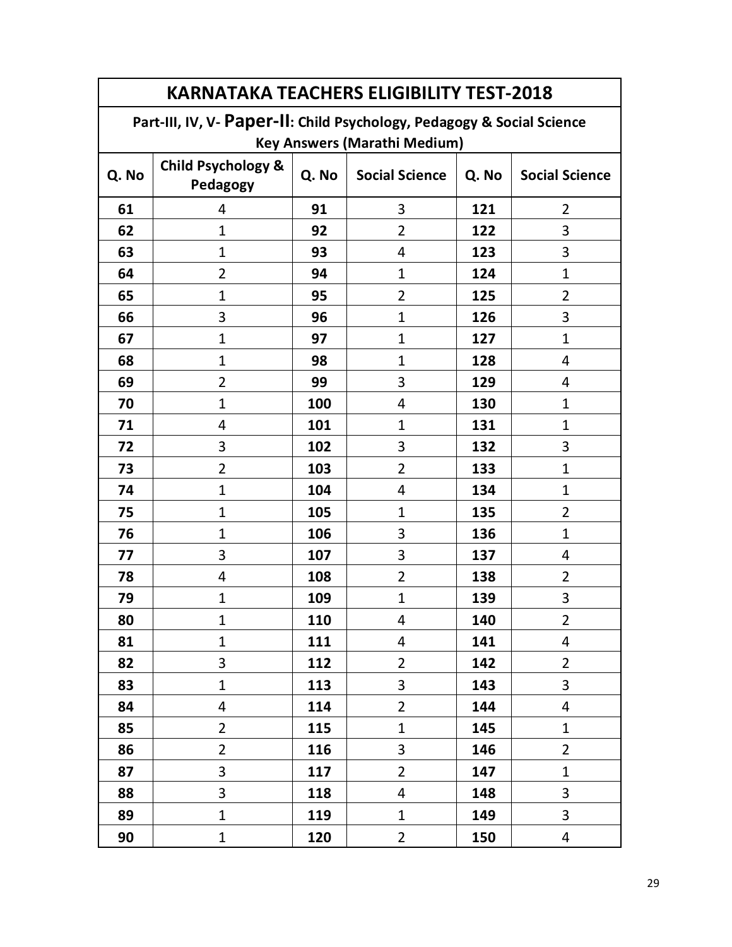| <b>KARNATAKA TEACHERS ELIGIBILITY TEST-2018</b> |                                                                        |       |                                     |       |                       |  |  |
|-------------------------------------------------|------------------------------------------------------------------------|-------|-------------------------------------|-------|-----------------------|--|--|
|                                                 | Part-III, IV, V- Paper-II: Child Psychology, Pedagogy & Social Science |       |                                     |       |                       |  |  |
|                                                 |                                                                        |       | <b>Key Answers (Marathi Medium)</b> |       |                       |  |  |
| Q. No                                           | <b>Child Psychology &amp;</b><br>Pedagogy                              | Q. No | <b>Social Science</b>               | Q. No | <b>Social Science</b> |  |  |
| 61                                              | 4                                                                      | 91    | 3                                   | 121   | $\overline{2}$        |  |  |
| 62                                              | $\mathbf{1}$                                                           | 92    | $\overline{2}$                      | 122   | 3                     |  |  |
| 63                                              | 1                                                                      | 93    | 4                                   | 123   | 3                     |  |  |
| 64                                              | $\overline{2}$                                                         | 94    | $\mathbf{1}$                        | 124   | $\mathbf{1}$          |  |  |
| 65                                              | $\mathbf 1$                                                            | 95    | $\overline{2}$                      | 125   | 2                     |  |  |
| 66                                              | 3                                                                      | 96    | $\mathbf{1}$                        | 126   | 3                     |  |  |
| 67                                              | $\mathbf 1$                                                            | 97    | $\mathbf{1}$                        | 127   | $\mathbf{1}$          |  |  |
| 68                                              | $\mathbf 1$                                                            | 98    | $\mathbf{1}$                        | 128   | 4                     |  |  |
| 69                                              | $\overline{2}$                                                         | 99    | 3                                   | 129   | 4                     |  |  |
| 70                                              | 1                                                                      | 100   | 4                                   | 130   | $\mathbf{1}$          |  |  |
| 71                                              | 4                                                                      | 101   | $\mathbf{1}$                        | 131   | $\mathbf{1}$          |  |  |
| 72                                              | 3                                                                      | 102   | 3                                   | 132   | 3                     |  |  |
| 73                                              | $\overline{2}$                                                         | 103   | $\overline{2}$                      | 133   | $\mathbf{1}$          |  |  |
| 74                                              | $\mathbf{1}$                                                           | 104   | 4                                   | 134   | $\mathbf{1}$          |  |  |
| 75                                              | $\mathbf{1}$                                                           | 105   | $\mathbf{1}$                        | 135   | $\overline{2}$        |  |  |
| 76                                              | $\mathbf{1}$                                                           | 106   | 3                                   | 136   | $\mathbf{1}$          |  |  |
| 77                                              | 3                                                                      | 107   | 3                                   | 137   | 4                     |  |  |
| 78                                              | 4                                                                      | 108   | $\overline{2}$                      | 138   | $\overline{2}$        |  |  |
| 79                                              | $\mathbf{1}$                                                           | 109   | $\mathbf{1}$                        | 139   | 3                     |  |  |
| 80                                              | 1                                                                      | 110   | 4                                   | 140   | 2                     |  |  |
| 81                                              | $\mathbf{1}$                                                           | 111   | 4                                   | 141   | 4                     |  |  |
| 82                                              | 3                                                                      | 112   | $\overline{2}$                      | 142   | $\overline{2}$        |  |  |
| 83                                              | $\mathbf{1}$                                                           | 113   | 3                                   | 143   | $\overline{3}$        |  |  |
| 84                                              | 4                                                                      | 114   | $\overline{2}$                      | 144   | 4                     |  |  |
| 85                                              | $\overline{2}$                                                         | 115   | $\mathbf{1}$                        | 145   | $\mathbf{1}$          |  |  |
| 86                                              | $\overline{2}$                                                         | 116   | 3                                   | 146   | $\overline{2}$        |  |  |
| 87                                              | 3                                                                      | 117   | $\overline{2}$                      | 147   | $\mathbf{1}$          |  |  |
| 88                                              | 3                                                                      | 118   | 4                                   | 148   | 3                     |  |  |
| 89                                              | $\mathbf{1}$                                                           | 119   | $\mathbf{1}$                        | 149   | 3                     |  |  |
| 90                                              | $\mathbf{1}$                                                           | 120   | $\overline{2}$                      | 150   | 4                     |  |  |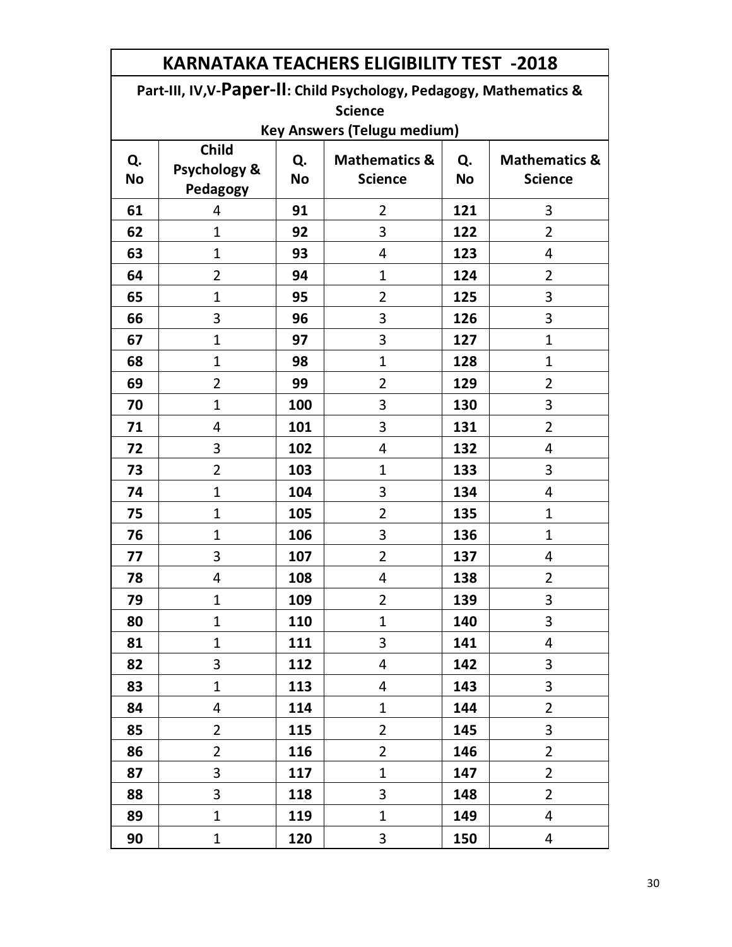| Part-III, IV, V-Paper-II: Child Psychology, Pedagogy, Mathematics & |                                   |                 |                                            |                 |                                            |  |  |
|---------------------------------------------------------------------|-----------------------------------|-----------------|--------------------------------------------|-----------------|--------------------------------------------|--|--|
| <b>Science</b>                                                      |                                   |                 |                                            |                 |                                            |  |  |
| <b>Key Answers (Telugu medium)</b>                                  |                                   |                 |                                            |                 |                                            |  |  |
| Q.<br><b>No</b>                                                     | Child<br>Psychology &<br>Pedagogy | Q.<br><b>No</b> | <b>Mathematics &amp;</b><br><b>Science</b> | Q.<br><b>No</b> | <b>Mathematics &amp;</b><br><b>Science</b> |  |  |
| 61                                                                  | 4                                 | 91              | $\overline{2}$                             | 121             | 3                                          |  |  |
| 62                                                                  | $\mathbf{1}$                      | 92              | 3                                          | 122             | $\overline{2}$                             |  |  |
| 63                                                                  | $\mathbf{1}$                      | 93              | 4                                          | 123             | 4                                          |  |  |
| 64                                                                  | $\overline{2}$                    | 94              | $\mathbf 1$                                | 124             | 2                                          |  |  |
| 65                                                                  | $\mathbf{1}$                      | 95              | $\overline{2}$                             | 125             | 3                                          |  |  |
| 66                                                                  | 3                                 | 96              | 3                                          | 126             | 3                                          |  |  |
| 67                                                                  | $\mathbf{1}$                      | 97              | 3                                          | 127             | $\mathbf 1$                                |  |  |
| 68                                                                  | $\mathbf{1}$                      | 98              | $\mathbf{1}$                               | 128             | $\mathbf 1$                                |  |  |
| 69                                                                  | $\overline{2}$                    | 99              | $\overline{2}$                             | 129             | $\overline{2}$                             |  |  |
| 70                                                                  | $\mathbf 1$                       | 100             | 3                                          | 130             | 3                                          |  |  |
| 71                                                                  | 4                                 | 101             | 3                                          | 131             | $\overline{2}$                             |  |  |
| 72                                                                  | 3                                 | 102             | 4                                          | 132             | 4                                          |  |  |
| 73                                                                  | $\overline{2}$                    | 103             | $\mathbf{1}$                               | 133             | 3                                          |  |  |
| 74                                                                  | $\mathbf{1}$                      | 104             | 3                                          | 134             | 4                                          |  |  |
| 75                                                                  | $\mathbf 1$                       | 105             | $\overline{2}$                             | 135             | $\mathbf{1}$                               |  |  |
| 76                                                                  | $\mathbf{1}$                      | 106             | 3                                          | 136             | 1                                          |  |  |
| 77                                                                  | 3                                 | 107             | $\overline{2}$                             | 137             | 4                                          |  |  |
| 78                                                                  | 4                                 | 108             | 4                                          | 138             | $\overline{2}$                             |  |  |
| 79                                                                  | 1                                 | 109             | $\overline{2}$                             | 139             | 3                                          |  |  |
| 80                                                                  | 1                                 | <u> 110</u>     | 1                                          | 140             | 3                                          |  |  |
| 81                                                                  | $\mathbf{1}$                      | 111             | $\overline{3}$                             | 141             | 4                                          |  |  |
| 82                                                                  | 3                                 | 112             | 4                                          | 142             | 3                                          |  |  |
| 83                                                                  | $\mathbf{1}$                      | 113             | 4                                          | 143             | 3                                          |  |  |
| 84                                                                  | 4                                 | 114             | $\mathbf{1}$                               | 144             | $\overline{2}$                             |  |  |
| 85                                                                  | $\overline{2}$                    | 115             | $\overline{2}$                             | 145             | 3                                          |  |  |
| 86                                                                  | $\overline{2}$                    | 116             | $\overline{2}$                             | 146             | $\overline{2}$                             |  |  |
| 87                                                                  | 3                                 | 117             | $\mathbf{1}$                               | 147             | $\overline{2}$                             |  |  |
| 88                                                                  | 3                                 | 118             | 3                                          | 148             | $\overline{2}$                             |  |  |
| 89                                                                  | $\mathbf{1}$                      | 119             | $\mathbf{1}$                               | 149             | 4                                          |  |  |
| 90                                                                  | $\mathbf{1}$                      | 120             | $\mathbf{3}$                               | 150             | 4                                          |  |  |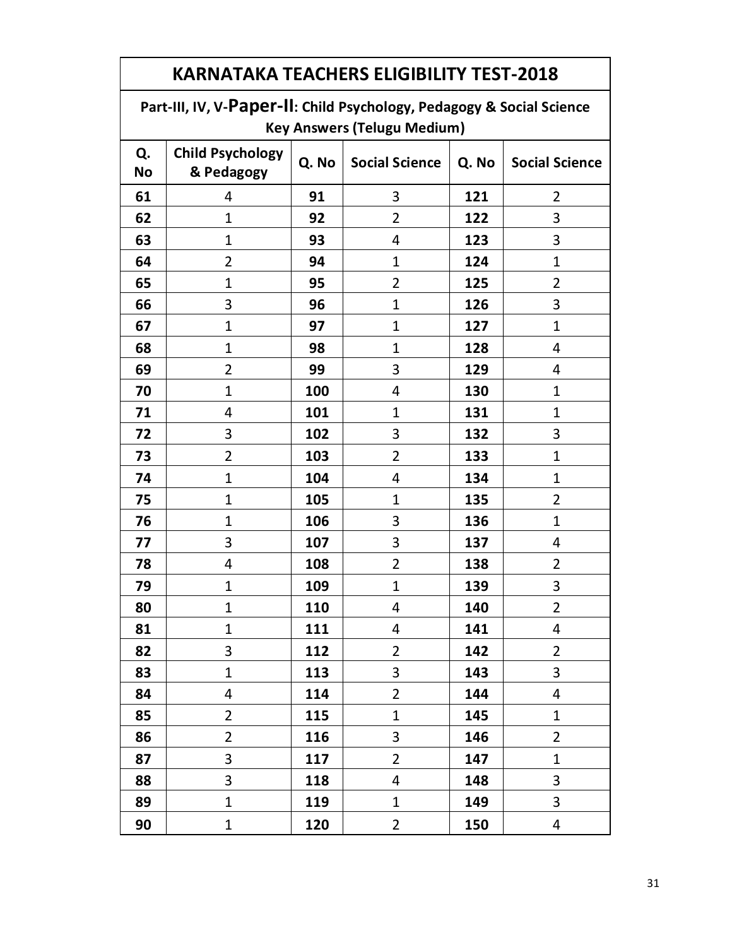#### **KARNATAKA TEACHERS ELIGIBILITY TEST-2018 Part-III, IV, V-Paper-II: Child Psychology, Pedagogy & Social Science Key Answers (Telugu Medium) Q. No Child Psychology & Pedagogy Q. No Social Science Q. No Social Science** 4 **91** 3 **121** 2 1 **92** 2 **122** 3 1 **93** 4 **123** 3 2 **94** 1 **124** 1 1 **95** 2 **125** 2 3 **96** 1 **126** 3 1 **97** 1 **127** 1 1 **98** 1 **128** 4 2 **99** 3 **129** 4 1 **100** 4 **130** 1 4 **101** 1 **131** 1 3 **102** 3 **132** 3 2 **103** 2 **133** 1 1 **104** 4 **134** 1 1 **105** 1 **135** 2 1 **106** 3 **136** 1 3 **107** 3 **137** 4 4 **108** 2 **138** 2 1 **109** 1 **139** 3 1 **110** 4 **140** 2 1 111 4 141 4 3 **112** 2 **142** 2 1 **113** 3 **143** 3 4 **114** 2 **144** 4 2 **115** 1 **145** 1 2 **116** 3 **146** 2 3 **117** 2 **147** 1 3 **118** 4 **148** 3 1 **119** 1 **149** 3 1 **120** 2 **150** 4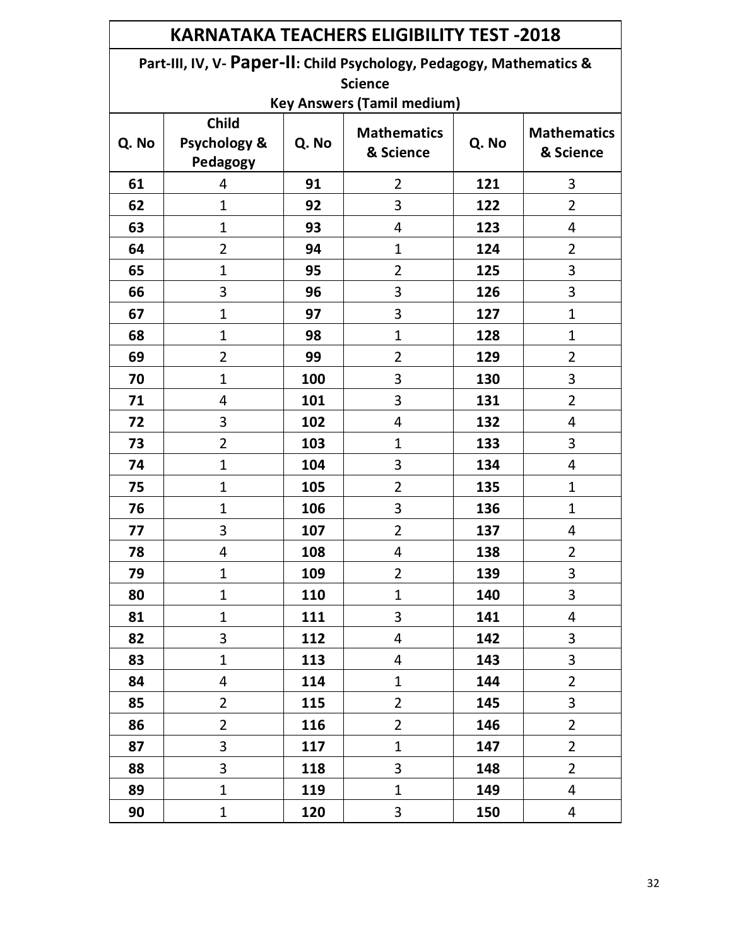| <b>KARNATAKA TEACHERS ELIGIBILITY TEST -2018</b> |                                                                                                                             |       |                                 |       |                                 |  |  |  |
|--------------------------------------------------|-----------------------------------------------------------------------------------------------------------------------------|-------|---------------------------------|-------|---------------------------------|--|--|--|
|                                                  | Part-III, IV, V- Paper-II: Child Psychology, Pedagogy, Mathematics &<br><b>Science</b><br><b>Key Answers (Tamil medium)</b> |       |                                 |       |                                 |  |  |  |
| Q. No                                            | <b>Child</b><br><b>Psychology &amp;</b><br>Pedagogy                                                                         | Q. No | <b>Mathematics</b><br>& Science | Q. No | <b>Mathematics</b><br>& Science |  |  |  |
| 61                                               | 4                                                                                                                           | 91    | $\overline{2}$                  | 121   | 3                               |  |  |  |
| 62                                               | $\mathbf{1}$                                                                                                                | 92    | 3                               | 122   | $\overline{2}$                  |  |  |  |
| 63                                               | $\mathbf{1}$                                                                                                                | 93    | 4                               | 123   | 4                               |  |  |  |
| 64                                               | $\overline{2}$                                                                                                              | 94    | 1                               | 124   | $\overline{2}$                  |  |  |  |
| 65                                               | $\mathbf{1}$                                                                                                                | 95    | $\overline{2}$                  | 125   | 3                               |  |  |  |
| 66                                               | 3                                                                                                                           | 96    | 3                               | 126   | 3                               |  |  |  |
| 67                                               | $\mathbf{1}$                                                                                                                | 97    | 3                               | 127   | $\mathbf{1}$                    |  |  |  |
| 68                                               | $\mathbf{1}$                                                                                                                | 98    | 1                               | 128   | $\mathbf{1}$                    |  |  |  |
| 69                                               | $\overline{2}$                                                                                                              | 99    | $\overline{2}$                  | 129   | $\overline{2}$                  |  |  |  |
| 70                                               | $\mathbf{1}$                                                                                                                | 100   | 3                               | 130   | 3                               |  |  |  |
| 71                                               | 4                                                                                                                           | 101   | 3                               | 131   | $\overline{2}$                  |  |  |  |
| 72                                               | 3                                                                                                                           | 102   | 4                               | 132   | 4                               |  |  |  |
| 73                                               | $\overline{2}$                                                                                                              | 103   | $\mathbf{1}$                    | 133   | 3                               |  |  |  |
| 74                                               | $\mathbf{1}$                                                                                                                | 104   | 3                               | 134   | 4                               |  |  |  |
| 75                                               | $\mathbf{1}$                                                                                                                | 105   | $\overline{2}$                  | 135   | $\mathbf{1}$                    |  |  |  |
| 76                                               | $\mathbf{1}$                                                                                                                | 106   | 3                               | 136   | 1                               |  |  |  |
| 77                                               | 3                                                                                                                           | 107   | 2                               | 137   | 4                               |  |  |  |
| 78                                               | 4                                                                                                                           | 108   | 4                               | 138   | $\overline{2}$                  |  |  |  |
| 79                                               | $\mathbf{1}$                                                                                                                | 109   | $\overline{2}$                  | 139   | 3                               |  |  |  |
| 80                                               | $\mathbf{1}$                                                                                                                | 110   | $\mathbf{1}$                    | 140   | 3                               |  |  |  |
| 81                                               | $\mathbf{1}$                                                                                                                | 111   | 3                               | 141   | 4                               |  |  |  |
| 82                                               | 3                                                                                                                           | 112   | 4                               | 142   | 3                               |  |  |  |
| 83                                               | $\mathbf{1}$                                                                                                                | 113   | 4                               | 143   | 3                               |  |  |  |
| 84                                               | 4                                                                                                                           | 114   | $\mathbf{1}$                    | 144   | $\overline{2}$                  |  |  |  |
| 85                                               | $\overline{2}$                                                                                                              | 115   | $\overline{2}$                  | 145   | 3                               |  |  |  |
| 86                                               | $\overline{2}$                                                                                                              | 116   | $\overline{2}$                  | 146   | $\overline{2}$                  |  |  |  |
| 87                                               | 3                                                                                                                           | 117   | $\mathbf{1}$                    | 147   | $\overline{2}$                  |  |  |  |
| 88                                               | 3                                                                                                                           | 118   | 3                               | 148   | $\overline{2}$                  |  |  |  |
| 89                                               | $\mathbf{1}$                                                                                                                | 119   | $\mathbf{1}$                    | 149   | 4                               |  |  |  |
| 90                                               | $\mathbf{1}$                                                                                                                | 120   | 3                               | 150   | 4                               |  |  |  |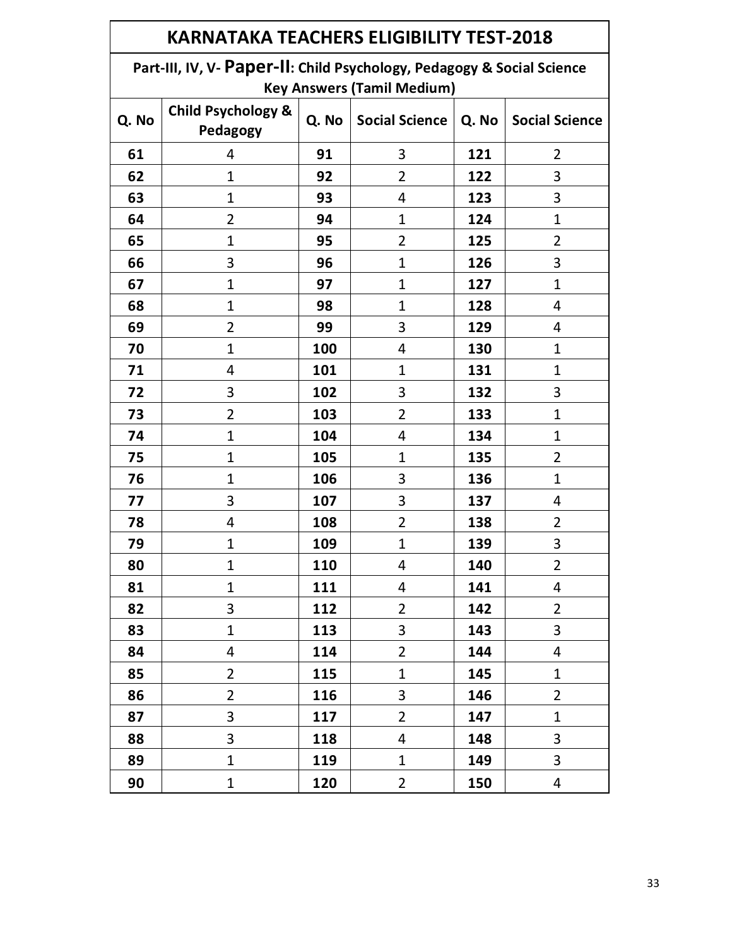| KARNATAKA TEACHERS ELIGIBILITY TEST-2018 |                                                                        |            |                                   |       |                       |  |  |
|------------------------------------------|------------------------------------------------------------------------|------------|-----------------------------------|-------|-----------------------|--|--|
|                                          | Part-III, IV, V- Paper-II: Child Psychology, Pedagogy & Social Science |            |                                   |       |                       |  |  |
|                                          |                                                                        |            | <b>Key Answers (Tamil Medium)</b> |       |                       |  |  |
| Q. No                                    | <b>Child Psychology &amp;</b><br>Pedagogy                              | Q. No      | <b>Social Science</b>             | Q. No | <b>Social Science</b> |  |  |
| 61                                       | 4                                                                      | 91         | 3                                 | 121   | $\overline{2}$        |  |  |
| 62                                       | 1                                                                      | 92         | 2                                 | 122   | 3                     |  |  |
| 63                                       | 1                                                                      | 93         | 4                                 | 123   | 3                     |  |  |
| 64                                       | 2                                                                      | 94         | 1                                 | 124   | $\mathbf{1}$          |  |  |
| 65                                       | 1                                                                      | 95         | 2                                 | 125   | $\overline{2}$        |  |  |
| 66                                       | 3                                                                      | 96         | 1                                 | 126   | 3                     |  |  |
| 67                                       | 1                                                                      | 97         | 1                                 | 127   | $\mathbf{1}$          |  |  |
| 68                                       | 1                                                                      | 98         | $\mathbf 1$                       | 128   | 4                     |  |  |
| 69                                       | $\overline{2}$                                                         | 99         | 3                                 | 129   | 4                     |  |  |
| 70                                       | 1                                                                      | 100        | 4                                 | 130   | $\mathbf 1$           |  |  |
| 71                                       | 4                                                                      | 101        | 1                                 | 131   | $\mathbf{1}$          |  |  |
| 72                                       | 3                                                                      | 102        | 3                                 | 132   | 3                     |  |  |
| 73                                       | $\overline{2}$                                                         | 103        | $\overline{2}$                    | 133   | $\mathbf 1$           |  |  |
| 74                                       | $\mathbf 1$                                                            | 104        | 4                                 | 134   | $\mathbf 1$           |  |  |
| 75                                       | 1                                                                      | 105        | $\mathbf{1}$                      | 135   | $\overline{2}$        |  |  |
| 76                                       | 1                                                                      | 106        | 3                                 | 136   | $\mathbf 1$           |  |  |
| 77                                       | 3                                                                      | 107        | 3                                 | 137   | 4                     |  |  |
| 78                                       | 4                                                                      | 108        | $\overline{2}$                    | 138   | $\overline{2}$        |  |  |
| 79                                       | 1                                                                      | 109        | $\mathbf{1}$                      | 139   | 3                     |  |  |
| 80                                       | 1                                                                      | <b>110</b> | 4                                 | 140   | 2                     |  |  |
| 81                                       | $\mathbf 1$                                                            | 111        | 4                                 | 141   | $\overline{4}$        |  |  |
| 82                                       | 3                                                                      | 112        | $\overline{2}$                    | 142   | $\overline{2}$        |  |  |
| 83                                       | 1                                                                      | 113        | 3                                 | 143   | 3                     |  |  |
| 84                                       | 4                                                                      | 114        | $\overline{2}$                    | 144   | 4                     |  |  |
| 85                                       | $\overline{2}$                                                         | 115        | $\mathbf{1}$                      | 145   | $\mathbf 1$           |  |  |
| 86                                       | $\overline{2}$                                                         | 116        | 3                                 | 146   | $\overline{2}$        |  |  |
| 87                                       | 3                                                                      | 117        | $\overline{2}$                    | 147   | $\mathbf{1}$          |  |  |
| 88                                       | 3                                                                      | 118        | 4                                 | 148   | 3                     |  |  |
| 89                                       | $\mathbf{1}$                                                           | 119        | $\mathbf{1}$                      | 149   | 3                     |  |  |
| 90                                       | $\mathbf 1$                                                            | 120        | $\overline{2}$                    | 150   | 4                     |  |  |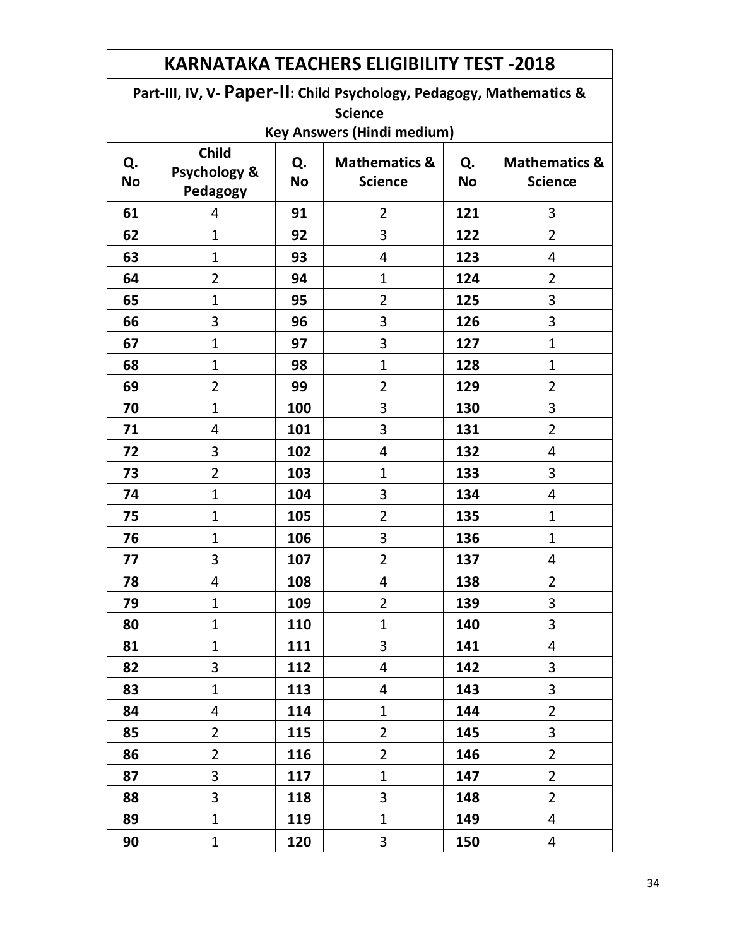| <b>KARNATAKA TEACHERS ELIGIBILITY TEST -2018</b> |                                          |                 |                                                                      |     |                |  |  |  |
|--------------------------------------------------|------------------------------------------|-----------------|----------------------------------------------------------------------|-----|----------------|--|--|--|
|                                                  |                                          |                 | Part-III, IV, V- Paper-II: Child Psychology, Pedagogy, Mathematics & |     |                |  |  |  |
|                                                  | <b>Science</b>                           |                 |                                                                      |     |                |  |  |  |
|                                                  |                                          |                 | <b>Key Answers (Hindi medium)</b>                                    |     |                |  |  |  |
| Q.<br><b>No</b>                                  | <b>Child</b><br>Psychology &<br>Pedagogy | Q.<br><b>No</b> | <b>Mathematics &amp;</b><br><b>Science</b>                           |     |                |  |  |  |
| 61                                               | 4                                        | 91              | $\overline{2}$                                                       | 121 | 3              |  |  |  |
| 62                                               | $\mathbf{1}$                             | 92              | 3                                                                    | 122 | $\overline{2}$ |  |  |  |
| 63                                               | $\mathbf 1$                              | 93              | 4                                                                    | 123 | 4              |  |  |  |
| 64                                               | $\overline{2}$                           | 94              | $\mathbf{1}$                                                         | 124 | $\overline{2}$ |  |  |  |
| 65                                               | $\mathbf{1}$                             | 95              | $\overline{2}$                                                       | 125 | 3              |  |  |  |
| 66                                               | 3                                        | 96              | 3                                                                    | 126 | 3              |  |  |  |
| 67                                               | $\mathbf 1$                              | 97              | 3                                                                    | 127 | $\mathbf{1}$   |  |  |  |
| 68                                               | $\mathbf 1$                              | 98              | $\mathbf{1}$                                                         | 128 | $\mathbf{1}$   |  |  |  |
| 69                                               | $\overline{2}$                           | 99              | 2                                                                    | 129 | 2              |  |  |  |
| 70                                               | $\mathbf 1$                              | 100             | 3                                                                    | 130 | 3              |  |  |  |
| 71                                               | 4                                        | 101             | 3                                                                    | 131 | $\overline{2}$ |  |  |  |
| 72                                               | 3                                        | 102             | 4                                                                    | 132 | 4              |  |  |  |
| 73                                               | $\overline{2}$                           | 103             | $\mathbf{1}$                                                         | 133 | 3              |  |  |  |
| 74                                               | $\mathbf 1$                              | 104             | 3                                                                    | 134 | 4              |  |  |  |
| 75                                               | $\mathbf 1$                              | 105             | $\overline{2}$                                                       | 135 | $\mathbf{1}$   |  |  |  |
| 76                                               | $\mathbf 1$                              | 106             | 3                                                                    | 136 | $\mathbf{1}$   |  |  |  |
| 77                                               | 3                                        | 107             | 2                                                                    | 137 | 4              |  |  |  |
| 78                                               | Δ                                        | 108             | 4                                                                    | 138 | 2              |  |  |  |
| 79                                               | 1                                        | 109             | $\overline{2}$                                                       | 139 | 3              |  |  |  |
| 80                                               | 1                                        | 110             | $\mathbf{1}$                                                         | 140 | 3              |  |  |  |
| 81                                               | $\mathbf{1}$                             | 111             | 3                                                                    | 141 | 4              |  |  |  |
| 82                                               | 3                                        | 112             | 4                                                                    | 142 | 3              |  |  |  |
| 83                                               | $\mathbf{1}$                             | 113             | 4                                                                    | 143 | 3              |  |  |  |
| 84                                               | 4                                        | 114             | $\mathbf{1}$                                                         | 144 | $\overline{2}$ |  |  |  |
| 85                                               | $\overline{2}$                           | 115             | $\overline{2}$                                                       | 145 | 3              |  |  |  |
| 86                                               | $\overline{2}$                           | 116             | $\overline{2}$                                                       | 146 | $\overline{2}$ |  |  |  |
| 87                                               | 3                                        | 117             | $\mathbf{1}$                                                         | 147 | $\overline{2}$ |  |  |  |
| 88                                               | 3                                        | 118             | 3                                                                    | 148 | $\overline{2}$ |  |  |  |
| 89                                               | $\mathbf{1}$                             | 119             | $\mathbf{1}$                                                         | 149 | 4              |  |  |  |
| 90                                               | $\mathbf{1}$                             | 120             | 3                                                                    | 150 | 4              |  |  |  |

┑